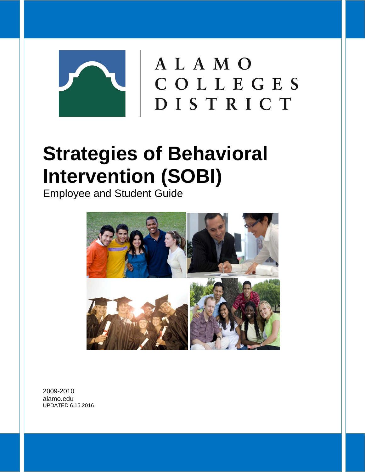

# **Strategies of Behavioral Intervention (SOBI)**

Employee and Student Guide



2009-2010 alamo.edu UPDATED 6.15.2016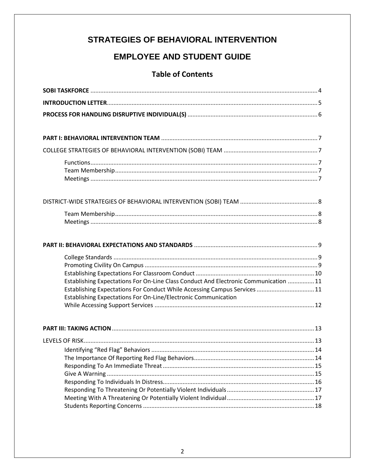### **STRATEGIES OF BEHAVIORAL INTERVENTION**

### **EMPLOYEE AND STUDENT GUIDE**

### **Table of Contents**

| Establishing Expectations For On-Line Class Conduct And Electronic Communication  11<br>Establishing Expectations For Conduct While Accessing Campus Services  11 |  |
|-------------------------------------------------------------------------------------------------------------------------------------------------------------------|--|
| Establishing Expectations For On-Line/Electronic Communication                                                                                                    |  |
|                                                                                                                                                                   |  |
|                                                                                                                                                                   |  |
|                                                                                                                                                                   |  |
|                                                                                                                                                                   |  |
|                                                                                                                                                                   |  |
|                                                                                                                                                                   |  |
|                                                                                                                                                                   |  |
|                                                                                                                                                                   |  |
|                                                                                                                                                                   |  |
|                                                                                                                                                                   |  |
|                                                                                                                                                                   |  |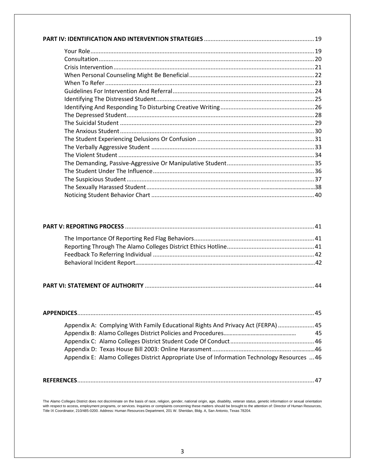|--|

| Appendix A: Complying With Family Educational Rights And Privacy Act (FERPA)  45            |    |
|---------------------------------------------------------------------------------------------|----|
|                                                                                             | 45 |
|                                                                                             |    |
|                                                                                             |    |
| Appendix E: Alamo Colleges District Appropriate Use of Information Technology Resources  46 |    |

|--|

The Alamo Colleges District does not discriminate on the basis of race, religion, gender, national origin, age, disability, veteran status, genetic information or sexual orientation<br>with respect to access, employment progr Title IX Coordinator, 210/485-0200. Address: Human Resources Department, 201 W. Sheridan, Bldg. A, San Antonio, Texas 78204.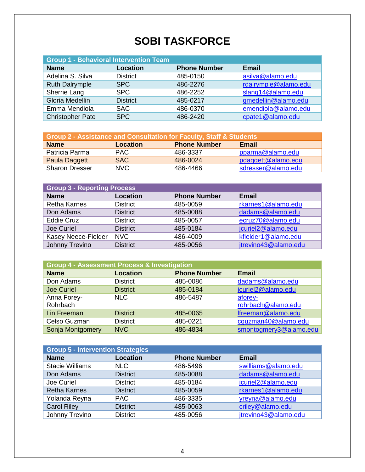# **SOBI TASKFORCE**

| <b>Group 1 - Behavioral Intervention Team</b> |                 |                     |                      |
|-----------------------------------------------|-----------------|---------------------|----------------------|
| <b>Name</b>                                   | Location        | <b>Phone Number</b> | <b>Email</b>         |
| Adelina S. Silva                              | <b>District</b> | 485-0150            | asilva@alamo.edu     |
| <b>Ruth Dalrymple</b>                         | SPC             | 486-2276            | rdalrymple@alamo.edu |
| Sherrie Lang                                  | <b>SPC</b>      | 486-2252            | slang14@alamo.edu    |
| Gloria Medellin                               | <b>District</b> | 485-0217            | gmedellin@alamo.edu  |
| Emma Mendiola                                 | <b>SAC</b>      | 486-0370            | emendiola@alamo.edu  |
| <b>Christopher Pate</b>                       | <b>SPC</b>      | 486-2420            | cpate1@alamo.edu     |

| <b>Group 2 - Assistance and Consultation for Faculty, Staff &amp; Students</b> |          |                     |                    |
|--------------------------------------------------------------------------------|----------|---------------------|--------------------|
| <b>Name</b>                                                                    | Location | <b>Phone Number</b> | Email              |
| Patricia Parma                                                                 | PAC.     | 486-3337            | pparma@alamo.edu   |
| Paula Daggett                                                                  | SAC      | 486-0024            | pdaggett@alamo.edu |
| <b>Sharon Dresser</b>                                                          | NVC.     | 486-4466            | sdresser@alamo.edu |

| <b>Group 3 - Reporting Process</b> |                 |                     |                      |
|------------------------------------|-----------------|---------------------|----------------------|
| <b>Name</b>                        | <b>Location</b> | <b>Phone Number</b> | <b>Email</b>         |
| <b>Retha Karnes</b>                | <b>District</b> | 485-0059            | rkarnes1@alamo.edu   |
| Don Adams                          | <b>District</b> | 485-0088            | dadams@alamo.edu     |
| Eddie Cruz                         | <b>District</b> | 485-0057            | ecruz70@alamo.edu    |
| Joe Curiel                         | <b>District</b> | 485-0184            | jcuriel2@alamo.edu   |
| Kasey Neece-Fielder                | <b>NVC</b>      | 486-4009            | kfielder1@alamo.edu  |
| Johnny Trevino                     | <b>District</b> | 485-0056            | jtrevino43@alamo.edu |

| <b>Group 4 - Assessment Process &amp; Investigation</b> |                 |                     |                        |
|---------------------------------------------------------|-----------------|---------------------|------------------------|
| <b>Name</b>                                             | <b>Location</b> | <b>Phone Number</b> | <b>Email</b>           |
| Don Adams                                               | <b>District</b> | 485-0086            | dadams@alamo.edu       |
| <b>Joe Curiel</b>                                       | <b>District</b> | 485-0184            | jcuriel2@alamo.edu     |
| Anna Forey-                                             | NLC.            | 486-5487            | aforey-                |
| Rohrbach                                                |                 |                     | rohrbach@alamo.edu     |
| Lin Freeman                                             | <b>District</b> | 485-0065            | Ifreeman@alamo.edu     |
| Celso Guzman                                            | <b>District</b> | 485-0221            | cguzman40@alamo.edu    |
| Sonja Montgomery                                        | <b>NVC</b>      | 486-4834            | smontogmery3@alamo.edu |

| <b>Group 5 - Intervention Strategies</b> |                 |                     |                      |
|------------------------------------------|-----------------|---------------------|----------------------|
| <b>Name</b>                              | <b>Location</b> | <b>Phone Number</b> | Email                |
| <b>Stacie Williams</b>                   | <b>NLC</b>      | 486-5496            | swilliams@alamo.edu  |
| Don Adams                                | <b>District</b> | 485-0088            | dadams@alamo.edu     |
| Joe Curiel                               | <b>District</b> | 485-0184            | jcuriel2@alamo.edu   |
| <b>Retha Karnes</b>                      | <b>District</b> | 485-0059            | rkarnes1@alamo.edu   |
| Yolanda Reyna                            | <b>PAC</b>      | 486-3335            | yreyna@alamo.edu     |
| <b>Carol Riley</b>                       | <b>District</b> | 485-0063            | criley@alamo.edu     |
| Johnny Trevino                           | <b>District</b> | 485-0056            | jtrevino43@alamo.edu |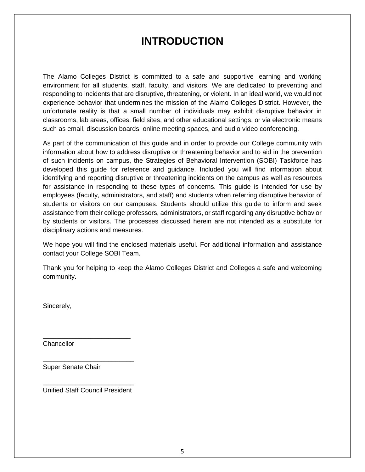### **INTRODUCTION**

The Alamo Colleges District is committed to a safe and supportive learning and working environment for all students, staff, faculty, and visitors. We are dedicated to preventing and responding to incidents that are disruptive, threatening, or violent. In an ideal world, we would not experience behavior that undermines the mission of the Alamo Colleges District. However, the unfortunate reality is that a small number of individuals may exhibit disruptive behavior in classrooms, lab areas, offices, field sites, and other educational settings, or via electronic means such as email, discussion boards, online meeting spaces, and audio video conferencing.

As part of the communication of this guide and in order to provide our College community with information about how to address disruptive or threatening behavior and to aid in the prevention of such incidents on campus, the Strategies of Behavioral Intervention (SOBI) Taskforce has developed this guide for reference and guidance. Included you will find information about identifying and reporting disruptive or threatening incidents on the campus as well as resources for assistance in responding to these types of concerns. This guide is intended for use by employees (faculty, administrators, and staff) and students when referring disruptive behavior of students or visitors on our campuses. Students should utilize this guide to inform and seek assistance from their college professors, administrators, or staff regarding any disruptive behavior by students or visitors. The processes discussed herein are not intended as a substitute for disciplinary actions and measures.

We hope you will find the enclosed materials useful. For additional information and assistance contact your College SOBI Team.

Thank you for helping to keep the Alamo Colleges District and Colleges a safe and welcoming community.

Sincerely,

**Chancellor** 

Super Senate Chair

\_\_\_\_\_\_\_\_\_\_\_\_\_\_\_\_\_\_\_\_\_\_\_\_\_ Unified Staff Council President

\_\_\_\_\_\_\_\_\_\_\_\_\_\_\_\_\_\_\_\_\_\_\_\_

\_\_\_\_\_\_\_\_\_\_\_\_\_\_\_\_\_\_\_\_\_\_\_\_\_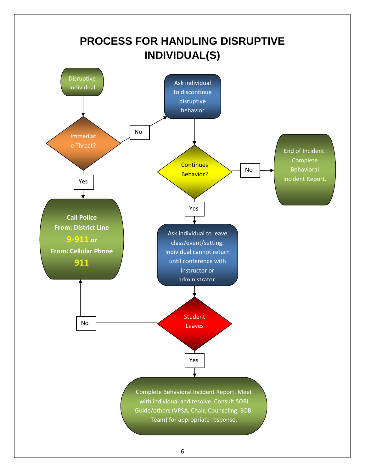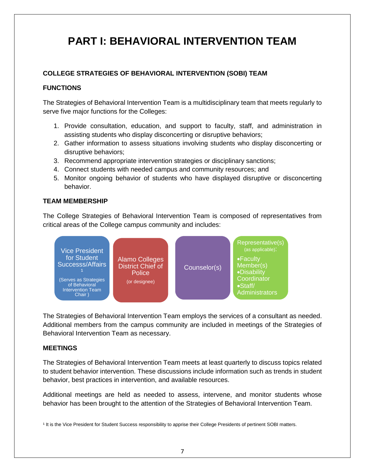### **PART I: BEHAVIORAL INTERVENTION TEAM**

#### **COLLEGE STRATEGIES OF BEHAVIORAL INTERVENTION (SOBI) TEAM**

#### **FUNCTIONS**

The Strategies of Behavioral Intervention Team is a multidisciplinary team that meets regularly to serve five major functions for the Colleges:

- 1. Provide consultation, education, and support to faculty, staff, and administration in assisting students who display disconcerting or disruptive behaviors;
- 2. Gather information to assess situations involving students who display disconcerting or disruptive behaviors;
- 3. Recommend appropriate intervention strategies or disciplinary sanctions;
- 4. Connect students with needed campus and community resources; and
- 5. Monitor ongoing behavior of students who have displayed disruptive or disconcerting behavior.

#### **TEAM MEMBERSHIP**

The College Strategies of Behavioral Intervention Team is composed of representatives from critical areas of the College campus community and includes:



The Strategies of Behavioral Intervention Team employs the services of a consultant as needed. Additional members from the campus community are included in meetings of the Strategies of Behavioral Intervention Team as necessary.

#### **MEETINGS**

The Strategies of Behavioral Intervention Team meets at least quarterly to discuss topics related to student behavior intervention. These discussions include information such as trends in student behavior, best practices in intervention, and available resources.

Additional meetings are held as needed to assess, intervene, and monitor students whose behavior has been brought to the attention of the Strategies of Behavioral Intervention Team.

<sup>1</sup> It is the Vice President for Student Success responsibility to apprise their College Presidents of pertinent SOBI matters.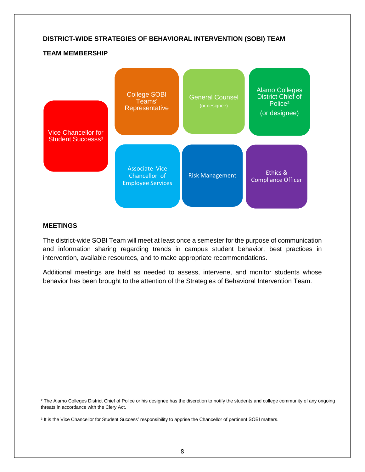#### **DISTRICT-WIDE STRATEGIES OF BEHAVIORAL INTERVENTION (SOBI) TEAM**

#### **TEAM MEMBERSHIP**



#### **MEETINGS**

The district-wide SOBI Team will meet at least once a semester for the purpose of communication and information sharing regarding trends in campus student behavior, best practices in intervention, available resources, and to make appropriate recommendations.

Additional meetings are held as needed to assess, intervene, and monitor students whose behavior has been brought to the attention of the Strategies of Behavioral Intervention Team.

<sup>2</sup> The Alamo Colleges District Chief of Police or his designee has the discretion to notify the students and college community of any ongoing threats in accordance with the Clery Act.

<sup>3</sup> It is the Vice Chancellor for Student Success' responsibility to apprise the Chancellor of pertinent SOBI matters.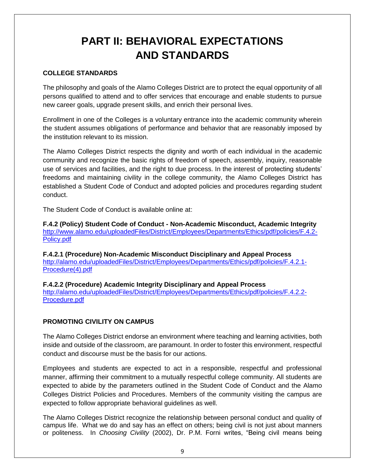# **PART II: BEHAVIORAL EXPECTATIONS AND STANDARDS**

#### **COLLEGE STANDARDS**

The philosophy and goals of the Alamo Colleges District are to protect the equal opportunity of all persons qualified to attend and to offer services that encourage and enable students to pursue new career goals, upgrade present skills, and enrich their personal lives.

Enrollment in one of the Colleges is a voluntary entrance into the academic community wherein the student assumes obligations of performance and behavior that are reasonably imposed by the institution relevant to its mission.

The Alamo Colleges District respects the dignity and worth of each individual in the academic community and recognize the basic rights of freedom of speech, assembly, inquiry, reasonable use of services and facilities, and the right to due process. In the interest of protecting students' freedoms and maintaining civility in the college community, the Alamo Colleges District has established a Student Code of Conduct and adopted policies and procedures regarding student conduct.

The Student Code of Conduct is available online at:

**F.4.2 (Policy) Student Code of Conduct - Non-Academic Misconduct, Academic Integrity** [http://www.alamo.edu/uploadedFiles/District/Employees/Departments/Ethics/pdf/policies/F.4.2-](http://www.alamo.edu/uploadedFiles/District/Employees/Departments/Ethics/pdf/policies/F.4.2-Policy.pdf) [Policy.pdf](http://www.alamo.edu/uploadedFiles/District/Employees/Departments/Ethics/pdf/policies/F.4.2-Policy.pdf)

**F.4.2.1 (Procedure) Non-Academic Misconduct Disciplinary and Appeal Process** [http://alamo.edu/uploadedFiles/District/Employees/Departments/Ethics/pdf/policies/F.4.2.1-](http://alamo.edu/uploadedFiles/District/Employees/Departments/Ethics/pdf/policies/F.4.2.1-Procedure(4).pdf) [Procedure\(4\).pdf](http://alamo.edu/uploadedFiles/District/Employees/Departments/Ethics/pdf/policies/F.4.2.1-Procedure(4).pdf)

**F.4.2.2 (Procedure) Academic Integrity Disciplinary and Appeal Process** [http://alamo.edu/uploadedFiles/District/Employees/Departments/Ethics/pdf/policies/F.4.2.2-](http://alamo.edu/uploadedFiles/District/Employees/Departments/Ethics/pdf/policies/F.4.2.2-Procedure.pdf) [Procedure.pdf](http://alamo.edu/uploadedFiles/District/Employees/Departments/Ethics/pdf/policies/F.4.2.2-Procedure.pdf)

#### **PROMOTING CIVILITY ON CAMPUS**

The Alamo Colleges District endorse an environment where teaching and learning activities, both inside and outside of the classroom, are paramount. In order to foster this environment, respectful conduct and discourse must be the basis for our actions.

Employees and students are expected to act in a responsible, respectful and professional manner, affirming their commitment to a mutually respectful college community. All students are expected to abide by the parameters outlined in the Student Code of Conduct and the Alamo Colleges District Policies and Procedures. Members of the community visiting the campus are expected to follow appropriate behavioral guidelines as well.

The Alamo Colleges District recognize the relationship between personal conduct and quality of campus life. What we do and say has an effect on others; being civil is not just about manners or politeness. In *Choosing Civility* (2002), Dr. P.M. Forni writes, "Being civil means being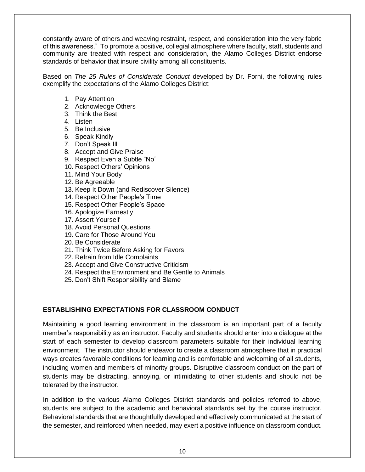constantly aware of others and weaving restraint, respect, and consideration into the very fabric of this awareness." To promote a positive, collegial atmosphere where faculty, staff, students and community are treated with respect and consideration, the Alamo Colleges District endorse standards of behavior that insure civility among all constituents.

Based on *The 25 Rules of Considerate Conduct* developed by Dr. Forni, the following rules exemplify the expectations of the Alamo Colleges District:

- 1. Pay Attention
- 2. Acknowledge Others
- 3. Think the Best
- 4. Listen
- 5. Be Inclusive
- 6. Speak Kindly
- 7. Don't Speak Ill
- 8. Accept and Give Praise
- 9. Respect Even a Subtle "No"
- 10. Respect Others' Opinions
- 11. Mind Your Body
- 12. Be Agreeable
- 13. Keep It Down (and Rediscover Silence)
- 14. Respect Other People's Time
- 15. Respect Other People's Space
- 16. Apologize Earnestly
- 17. Assert Yourself
- 18. Avoid Personal Questions
- 19. Care for Those Around You
- 20. Be Considerate
- 21. Think Twice Before Asking for Favors
- 22. Refrain from Idle Complaints
- 23. Accept and Give Constructive Criticism
- 24. Respect the Environment and Be Gentle to Animals
- 25. Don't Shift Responsibility and Blame

#### **ESTABLISHING EXPECTATIONS FOR CLASSROOM CONDUCT**

Maintaining a good learning environment in the classroom is an important part of a faculty member's responsibility as an instructor. Faculty and students should enter into a dialogue at the start of each semester to develop classroom parameters suitable for their individual learning environment. The instructor should endeavor to create a classroom atmosphere that in practical ways creates favorable conditions for learning and is comfortable and welcoming of all students, including women and members of minority groups. Disruptive classroom conduct on the part of students may be distracting, annoying, or intimidating to other students and should not be tolerated by the instructor.

In addition to the various Alamo Colleges District standards and policies referred to above, students are subject to the academic and behavioral standards set by the course instructor. Behavioral standards that are thoughtfully developed and effectively communicated at the start of the semester, and reinforced when needed, may exert a positive influence on classroom conduct.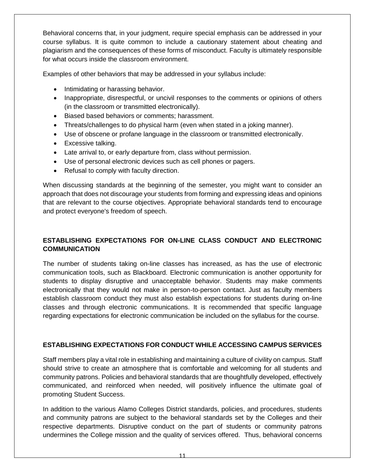Behavioral concerns that, in your judgment, require special emphasis can be addressed in your course syllabus. It is quite common to include a cautionary statement about cheating and plagiarism and the consequences of these forms of misconduct. Faculty is ultimately responsible for what occurs inside the classroom environment.

Examples of other behaviors that may be addressed in your syllabus include:

- Intimidating or harassing behavior.
- Inappropriate, disrespectful, or uncivil responses to the comments or opinions of others (in the classroom or transmitted electronically).
- Biased based behaviors or comments; harassment.
- Threats/challenges to do physical harm (even when stated in a joking manner).
- Use of obscene or profane language in the classroom or transmitted electronically.
- Excessive talking.
- Late arrival to, or early departure from, class without permission.
- Use of personal electronic devices such as cell phones or pagers.
- Refusal to comply with faculty direction.

When discussing standards at the beginning of the semester, you might want to consider an approach that does not discourage your students from forming and expressing ideas and opinions that are relevant to the course objectives. Appropriate behavioral standards tend to encourage and protect everyone's freedom of speech.

#### **ESTABLISHING EXPECTATIONS FOR ON-LINE CLASS CONDUCT AND ELECTRONIC COMMUNICATION**

The number of students taking on-line classes has increased, as has the use of electronic communication tools, such as Blackboard. Electronic communication is another opportunity for students to display disruptive and unacceptable behavior. Students may make comments electronically that they would not make in person-to-person contact. Just as faculty members establish classroom conduct they must also establish expectations for students during on-line classes and through electronic communications. It is recommended that specific language regarding expectations for electronic communication be included on the syllabus for the course.

#### **ESTABLISHING EXPECTATIONS FOR CONDUCT WHILE ACCESSING CAMPUS SERVICES**

Staff members play a vital role in establishing and maintaining a culture of civility on campus. Staff should strive to create an atmosphere that is comfortable and welcoming for all students and community patrons. Policies and behavioral standards that are thoughtfully developed, effectively communicated, and reinforced when needed, will positively influence the ultimate goal of promoting Student Success.

In addition to the various Alamo Colleges District standards, policies, and procedures, students and community patrons are subject to the behavioral standards set by the Colleges and their respective departments. Disruptive conduct on the part of students or community patrons undermines the College mission and the quality of services offered. Thus, behavioral concerns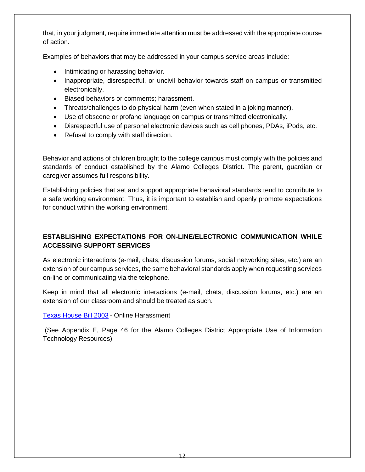that, in your judgment, require immediate attention must be addressed with the appropriate course of action.

Examples of behaviors that may be addressed in your campus service areas include:

- Intimidating or harassing behavior.
- Inappropriate, disrespectful, or uncivil behavior towards staff on campus or transmitted electronically.
- Biased behaviors or comments; harassment.
- Threats/challenges to do physical harm (even when stated in a joking manner).
- Use of obscene or profane language on campus or transmitted electronically.
- Disrespectful use of personal electronic devices such as cell phones, PDAs, iPods, etc.
- Refusal to comply with staff direction.

Behavior and actions of children brought to the college campus must comply with the policies and standards of conduct established by the Alamo Colleges District. The parent, guardian or caregiver assumes full responsibility.

Establishing policies that set and support appropriate behavioral standards tend to contribute to a safe working environment. Thus, it is important to establish and openly promote expectations for conduct within the working environment.

#### **ESTABLISHING EXPECTATIONS FOR ON-LINE/ELECTRONIC COMMUNICATION WHILE ACCESSING SUPPORT SERVICES**

As electronic interactions (e-mail, chats, discussion forums, social networking sites, etc.) are an extension of our campus services, the same behavioral standards apply when requesting services on-line or communicating via the telephone.

Keep in mind that all electronic interactions (e-mail, chats, discussion forums, etc.) are an extension of our classroom and should be treated as such.

#### [Texas House Bill 2003](http://www.legis.state.tx.us/tlodocs/81R/billtext/pdf/HB02003F.pdf) - Online Harassment

(See Appendix E, Page 46 for the Alamo Colleges District Appropriate Use of Information Technology Resources)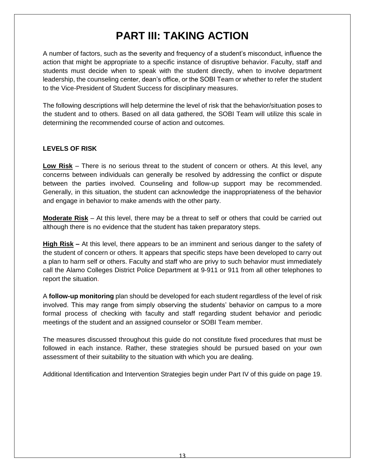# **PART III: TAKING ACTION**

A number of factors, such as the severity and frequency of a student's misconduct, influence the action that might be appropriate to a specific instance of disruptive behavior. Faculty, staff and students must decide when to speak with the student directly, when to involve department leadership, the counseling center, dean's office, or the SOBI Team or whether to refer the student to the Vice-President of Student Success for disciplinary measures.

The following descriptions will help determine the level of risk that the behavior/situation poses to the student and to others. Based on all data gathered, the SOBI Team will utilize this scale in determining the recommended course of action and outcomes.

#### **LEVELS OF RISK**

**Low Risk** – There is no serious threat to the student of concern or others. At this level, any concerns between individuals can generally be resolved by addressing the conflict or dispute between the parties involved. Counseling and follow-up support may be recommended. Generally, in this situation, the student can acknowledge the inappropriateness of the behavior and engage in behavior to make amends with the other party.

**Moderate Risk** – At this level, there may be a threat to self or others that could be carried out although there is no evidence that the student has taken preparatory steps.

**High Risk –** At this level, there appears to be an imminent and serious danger to the safety of the student of concern or others. It appears that specific steps have been developed to carry out a plan to harm self or others. Faculty and staff who are privy to such behavior must immediately call the Alamo Colleges District Police Department at 9-911 or 911 from all other telephones to report the situation.

A **follow-up monitoring** plan should be developed for each student regardless of the level of risk involved. This may range from simply observing the students' behavior on campus to a more formal process of checking with faculty and staff regarding student behavior and periodic meetings of the student and an assigned counselor or SOBI Team member.

The measures discussed throughout this guide do not constitute fixed procedures that must be followed in each instance. Rather, these strategies should be pursued based on your own assessment of their suitability to the situation with which you are dealing.

Additional Identification and Intervention Strategies begin under Part IV of this guide on page 19.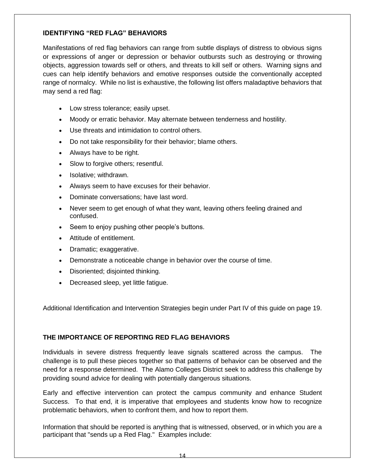#### **IDENTIFYING "RED FLAG" BEHAVIORS**

Manifestations of red flag behaviors can range from subtle displays of distress to obvious signs or expressions of anger or depression or behavior outbursts such as destroying or throwing objects, aggression towards self or others, and threats to kill self or others. Warning signs and cues can help identify behaviors and emotive responses outside the conventionally accepted range of normalcy. While no list is exhaustive, the following list offers maladaptive behaviors that may send a red flag:

- Low stress tolerance; easily upset.
- Moody or erratic behavior. May alternate between tenderness and hostility.
- Use threats and intimidation to control others.
- Do not take responsibility for their behavior; blame others.
- Always have to be right.
- Slow to forgive others; resentful.
- Isolative; withdrawn.
- Always seem to have excuses for their behavior.
- Dominate conversations; have last word.
- Never seem to get enough of what they want, leaving others feeling drained and confused.
- Seem to enjoy pushing other people's buttons.
- Attitude of entitlement.
- Dramatic; exaggerative.
- Demonstrate a noticeable change in behavior over the course of time.
- Disoriented; disjointed thinking.
- Decreased sleep, yet little fatigue.

Additional Identification and Intervention Strategies begin under Part IV of this guide on page 19.

#### **THE IMPORTANCE OF REPORTING RED FLAG BEHAVIORS**

Individuals in severe distress frequently leave signals scattered across the campus. The challenge is to pull these pieces together so that patterns of behavior can be observed and the need for a response determined. The Alamo Colleges District seek to address this challenge by providing sound advice for dealing with potentially dangerous situations.

Early and effective intervention can protect the campus community and enhance Student Success. To that end, it is imperative that employees and students know how to recognize problematic behaviors, when to confront them, and how to report them.

Information that should be reported is anything that is witnessed, observed, or in which you are a participant that "sends up a Red Flag." Examples include: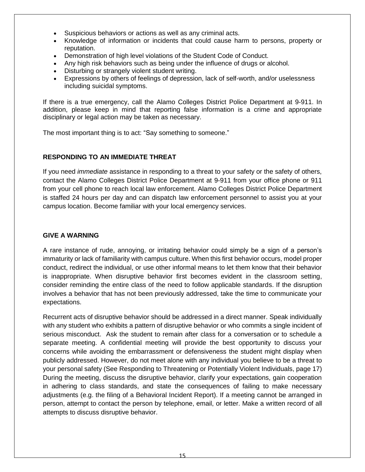- Suspicious behaviors or actions as well as any criminal acts.
- Knowledge of information or incidents that could cause harm to persons, property or reputation.
- Demonstration of high level violations of the Student Code of Conduct.
- Any high risk behaviors such as being under the influence of drugs or alcohol.
- Disturbing or strangely violent student writing.
- Expressions by others of feelings of depression, lack of self-worth, and/or uselessness including suicidal symptoms.

If there is a true emergency, call the Alamo Colleges District Police Department at 9-911. In addition, please keep in mind that reporting false information is a crime and appropriate disciplinary or legal action may be taken as necessary.

The most important thing is to act: "Say something to someone."

#### **RESPONDING TO AN IMMEDIATE THREAT**

If you need *immediate* assistance in responding to a threat to your safety or the safety of others, contact the Alamo Colleges District Police Department at 9-911 from your office phone or 911 from your cell phone to reach local law enforcement. Alamo Colleges District Police Department is staffed 24 hours per day and can dispatch law enforcement personnel to assist you at your campus location. Become familiar with your local emergency services.

#### **GIVE A WARNING**

A rare instance of rude, annoying, or irritating behavior could simply be a sign of a person's immaturity or lack of familiarity with campus culture. When this first behavior occurs, model proper conduct, redirect the individual, or use other informal means to let them know that their behavior is inappropriate. When disruptive behavior first becomes evident in the classroom setting, consider reminding the entire class of the need to follow applicable standards. If the disruption involves a behavior that has not been previously addressed, take the time to communicate your expectations.

Recurrent acts of disruptive behavior should be addressed in a direct manner. Speak individually with any student who exhibits a pattern of disruptive behavior or who commits a single incident of serious misconduct. Ask the student to remain after class for a conversation or to schedule a separate meeting. A confidential meeting will provide the best opportunity to discuss your concerns while avoiding the embarrassment or defensiveness the student might display when publicly addressed. However, do not meet alone with any individual you believe to be a threat to your personal safety (See Responding to Threatening or Potentially Violent Individuals, page 17) During the meeting, discuss the disruptive behavior, clarify your expectations, gain cooperation in adhering to class standards, and state the consequences of failing to make necessary adjustments (e.g. the filing of a Behavioral Incident Report). If a meeting cannot be arranged in person, attempt to contact the person by telephone, email, or letter. Make a written record of all attempts to discuss disruptive behavior.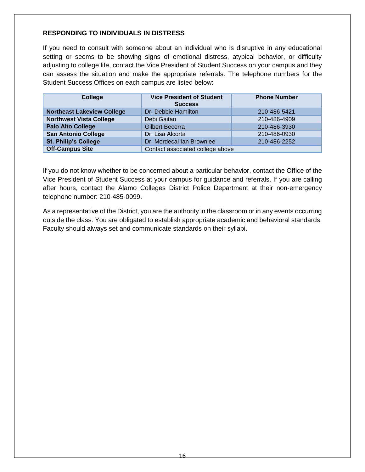#### **RESPONDING TO INDIVIDUALS IN DISTRESS**

If you need to consult with someone about an individual who is disruptive in any educational setting or seems to be showing signs of emotional distress, atypical behavior, or difficulty adjusting to college life, contact the Vice President of Student Success on your campus and they can assess the situation and make the appropriate referrals. The telephone numbers for the Student Success Offices on each campus are listed below:

| College                           | <b>Vice President of Student</b><br><b>Success</b> | <b>Phone Number</b> |  |
|-----------------------------------|----------------------------------------------------|---------------------|--|
| <b>Northeast Lakeview College</b> | Dr. Debbie Hamilton                                | 210-486-5421        |  |
| <b>Northwest Vista College</b>    | Debi Gaitan                                        | 210-486-4909        |  |
| <b>Palo Alto College</b>          | <b>Gilbert Becerra</b>                             | 210-486-3930        |  |
| <b>San Antonio College</b>        | Dr. Lisa Alcorta                                   | 210-486-0930        |  |
| <b>St. Philip's College</b>       | Dr. Mordecai Ian Brownlee                          | 210-486-2252        |  |
| <b>Off-Campus Site</b>            | Contact associated college above                   |                     |  |

If you do not know whether to be concerned about a particular behavior, contact the Office of the Vice President of Student Success at your campus for guidance and referrals. If you are calling after hours, contact the Alamo Colleges District Police Department at their non-emergency telephone number: 210-485-0099.

As a representative of the District, you are the authority in the classroom or in any events occurring outside the class. You are obligated to establish appropriate academic and behavioral standards. Faculty should always set and communicate standards on their syllabi.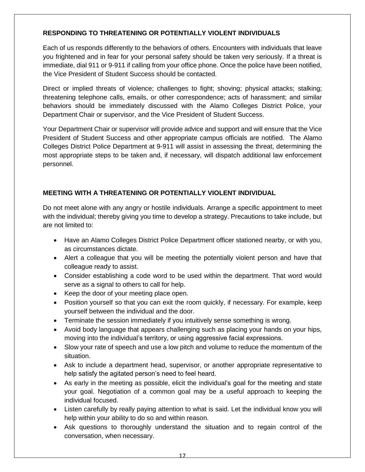#### **RESPONDING TO THREATENING OR POTENTIALLY VIOLENT INDIVIDUALS**

Each of us responds differently to the behaviors of others. Encounters with individuals that leave you frightened and in fear for your personal safety should be taken very seriously. If a threat is immediate, dial 911 or 9-911 if calling from your office phone. Once the police have been notified, the Vice President of Student Success should be contacted.

Direct or implied threats of violence; challenges to fight; shoving; physical attacks; stalking; threatening telephone calls, emails, or other correspondence; acts of harassment; and similar behaviors should be immediately discussed with the Alamo Colleges District Police, your Department Chair or supervisor, and the Vice President of Student Success.

Your Department Chair or supervisor will provide advice and support and will ensure that the Vice President of Student Success and other appropriate campus officials are notified. The Alamo Colleges District Police Department at 9-911 will assist in assessing the threat, determining the most appropriate steps to be taken and, if necessary, will dispatch additional law enforcement personnel.

#### **MEETING WITH A THREATENING OR POTENTIALLY VIOLENT INDIVIDUAL**

Do not meet alone with any angry or hostile individuals. Arrange a specific appointment to meet with the individual; thereby giving you time to develop a strategy. Precautions to take include, but are not limited to:

- Have an Alamo Colleges District Police Department officer stationed nearby, or with you, as circumstances dictate.
- Alert a colleague that you will be meeting the potentially violent person and have that colleague ready to assist.
- Consider establishing a code word to be used within the department. That word would serve as a signal to others to call for help.
- Keep the door of your meeting place open.
- Position yourself so that you can exit the room quickly, if necessary. For example, keep yourself between the individual and the door.
- Terminate the session immediately if you intuitively sense something is wrong.
- Avoid body language that appears challenging such as placing your hands on your hips, moving into the individual's territory, or using aggressive facial expressions.
- Slow your rate of speech and use a low pitch and volume to reduce the momentum of the situation.
- Ask to include a department head, supervisor, or another appropriate representative to help satisfy the agitated person's need to feel heard.
- As early in the meeting as possible, elicit the individual's goal for the meeting and state your goal. Negotiation of a common goal may be a useful approach to keeping the individual focused.
- Listen carefully by really paying attention to what is said. Let the individual know you will help within your ability to do so and within reason.
- Ask questions to thoroughly understand the situation and to regain control of the conversation, when necessary.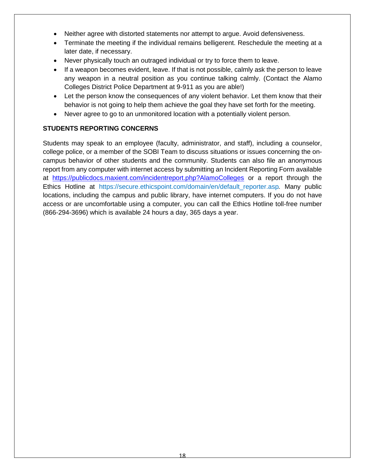- Neither agree with distorted statements nor attempt to argue. Avoid defensiveness.
- Terminate the meeting if the individual remains belligerent. Reschedule the meeting at a later date, if necessary.
- Never physically touch an outraged individual or try to force them to leave.
- If a weapon becomes evident, leave. If that is not possible, calmly ask the person to leave any weapon in a neutral position as you continue talking calmly. (Contact the Alamo Colleges District Police Department at 9-911 as you are able!)
- Let the person know the consequences of any violent behavior. Let them know that their behavior is not going to help them achieve the goal they have set forth for the meeting.
- Never agree to go to an unmonitored location with a potentially violent person.

#### **STUDENTS REPORTING CONCERNS**

Students may speak to an employee (faculty, administrator, and staff), including a counselor, college police, or a member of the SOBI Team to discuss situations or issues concerning the oncampus behavior of other students and the community. Students can also file an anonymous report from any computer with internet access by submitting an Incident Reporting Form available at <https://publicdocs.maxient.com/incidentreport.php?AlamoColleges> or a report through the Ethics Hotline at https://secure.ethicspoint.com/domain/en/default\_reporter.asp*.* Many public locations, including the campus and public library, have internet computers. If you do not have access or are uncomfortable using a computer, you can call the Ethics Hotline toll-free number (866-294-3696) which is available 24 hours a day, 365 days a year.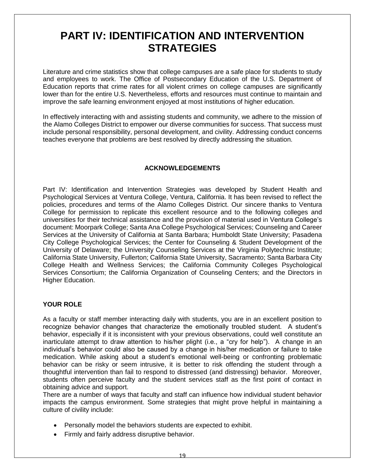### **PART IV: IDENTIFICATION AND INTERVENTION STRATEGIES**

Literature and crime statistics show that college campuses are a safe place for students to study and employees to work. The Office of Postsecondary Education of the U.S. Department of Education reports that crime rates for all violent crimes on college campuses are significantly lower than for the entire U.S. Nevertheless, efforts and resources must continue to maintain and improve the safe learning environment enjoyed at most institutions of higher education.

In effectively interacting with and assisting students and community, we adhere to the mission of the Alamo Colleges District to empower our diverse communities for success. That success must include personal responsibility, personal development, and civility. Addressing conduct concerns teaches everyone that problems are best resolved by directly addressing the situation.

#### **ACKNOWLEDGEMENTS**

Part IV: Identification and Intervention Strategies was developed by Student Health and Psychological Services at Ventura College, Ventura, California. It has been revised to reflect the policies, procedures and terms of the Alamo Colleges District. Our sincere thanks to Ventura College for permission to replicate this excellent resource and to the following colleges and universities for their technical assistance and the provision of material used in Ventura College's document: Moorpark College; Santa Ana College Psychological Services; Counseling and Career Services at the University of California at Santa Barbara; Humboldt State University; Pasadena City College Psychological Services; the Center for Counseling & Student Development of the University of Delaware; the University Counseling Services at the Virginia Polytechnic Institute; California State University, Fullerton; California State University, Sacramento; Santa Barbara City College Health and Wellness Services; the California Community Colleges Psychological Services Consortium; the California Organization of Counseling Centers; and the Directors in Higher Education.

#### **YOUR ROLE**

As a faculty or staff member interacting daily with students, you are in an excellent position to recognize behavior changes that characterize the emotionally troubled student. A student's behavior, especially if it is inconsistent with your previous observations, could well constitute an inarticulate attempt to draw attention to his/her plight (i.e., a "cry for help"). A change in an individual's behavior could also be caused by a change in his/her medication or failure to take medication. While asking about a student's emotional well-being or confronting problematic behavior can be risky or seem intrusive, it is better to risk offending the student through a thoughtful intervention than fail to respond to distressed (and distressing) behavior. Moreover, students often perceive faculty and the student services staff as the first point of contact in obtaining advice and support.

There are a number of ways that faculty and staff can influence how individual student behavior impacts the campus environment. Some strategies that might prove helpful in maintaining a culture of civility include:

- Personally model the behaviors students are expected to exhibit.
- Firmly and fairly address disruptive behavior.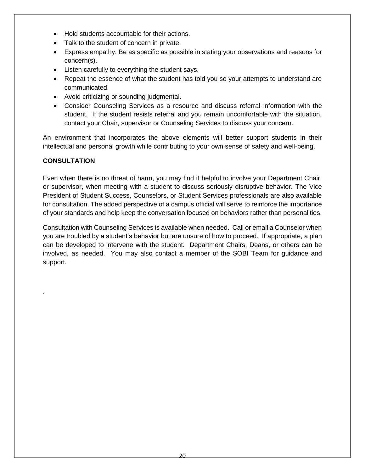- Hold students accountable for their actions.
- Talk to the student of concern in private.
- Express empathy. Be as specific as possible in stating your observations and reasons for concern(s).
- Listen carefully to everything the student says.
- Repeat the essence of what the student has told you so your attempts to understand are communicated.
- Avoid criticizing or sounding judgmental.
- Consider Counseling Services as a resource and discuss referral information with the student. If the student resists referral and you remain uncomfortable with the situation, contact your Chair, supervisor or Counseling Services to discuss your concern.

An environment that incorporates the above elements will better support students in their intellectual and personal growth while contributing to your own sense of safety and well-being.

#### **CONSULTATION**

.

Even when there is no threat of harm, you may find it helpful to involve your Department Chair, or supervisor, when meeting with a student to discuss seriously disruptive behavior. The Vice President of Student Success, Counselors, or Student Services professionals are also available for consultation. The added perspective of a campus official will serve to reinforce the importance of your standards and help keep the conversation focused on behaviors rather than personalities.

Consultation with Counseling Services is available when needed. Call or email a Counselor when you are troubled by a student's behavior but are unsure of how to proceed. If appropriate, a plan can be developed to intervene with the student. Department Chairs, Deans, or others can be involved, as needed. You may also contact a member of the SOBI Team for guidance and support.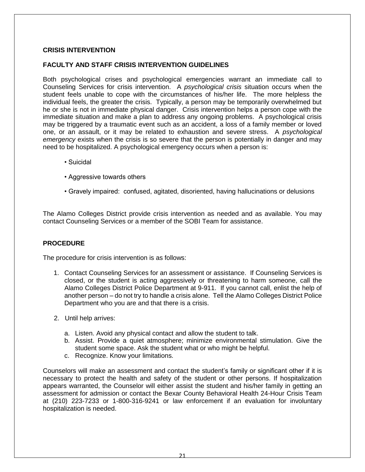#### **CRISIS INTERVENTION**

#### **FACULTY AND STAFF CRISIS INTERVENTION GUIDELINES**

Both psychological crises and psychological emergencies warrant an immediate call to Counseling Services for crisis intervention. A *psychological crisis* situation occurs when the student feels unable to cope with the circumstances of his/her life. The more helpless the individual feels, the greater the crisis. Typically, a person may be temporarily overwhelmed but he or she is not in immediate physical danger. Crisis intervention helps a person cope with the immediate situation and make a plan to address any ongoing problems. A psychological crisis may be triggered by a traumatic event such as an accident, a loss of a family member or loved one, or an assault, or it may be related to exhaustion and severe stress. A *psychological emergency* exists when the crisis is so severe that the person is potentially in danger and may need to be hospitalized. A psychological emergency occurs when a person is:

- Suicidal
- Aggressive towards others
- Gravely impaired: confused, agitated, disoriented, having hallucinations or delusions

The Alamo Colleges District provide crisis intervention as needed and as available. You may contact Counseling Services or a member of the SOBI Team for assistance.

#### **PROCEDURE**

The procedure for crisis intervention is as follows:

- 1. Contact Counseling Services for an assessment or assistance. If Counseling Services is closed, or the student is acting aggressively or threatening to harm someone, call the Alamo Colleges District Police Department at 9-911. If you cannot call, enlist the help of another person – do not try to handle a crisis alone. Tell the Alamo Colleges District Police Department who you are and that there is a crisis.
- 2. Until help arrives:
	- a. Listen. Avoid any physical contact and allow the student to talk.
	- b. Assist. Provide a quiet atmosphere; minimize environmental stimulation. Give the student some space. Ask the student what or who might be helpful.
	- c. Recognize. Know your limitations.

Counselors will make an assessment and contact the student's family or significant other if it is necessary to protect the health and safety of the student or other persons. If hospitalization appears warranted, the Counselor will either assist the student and his/her family in getting an assessment for admission or contact the Bexar County Behavioral Health 24-Hour Crisis Team at (210) 223-7233 or 1-800-316-9241 or law enforcement if an evaluation for involuntary hospitalization is needed.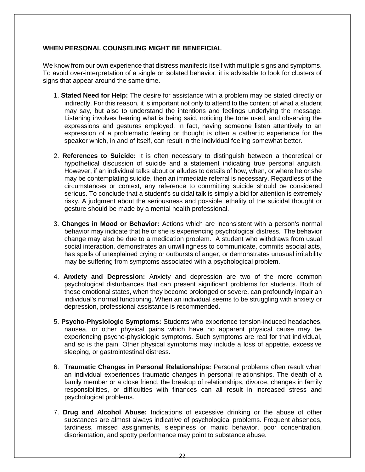#### **WHEN PERSONAL COUNSELING MIGHT BE BENEFICIAL**

We know from our own experience that distress manifests itself with multiple signs and symptoms. To avoid over-interpretation of a single or isolated behavior, it is advisable to look for clusters of signs that appear around the same time.

- 1. **Stated Need for Help:** The desire for assistance with a problem may be stated directly or indirectly. For this reason, it is important not only to attend to the content of what a student may say, but also to understand the intentions and feelings underlying the message. Listening involves hearing what is being said, noticing the tone used, and observing the expressions and gestures employed. In fact, having someone listen attentively to an expression of a problematic feeling or thought is often a cathartic experience for the speaker which, in and of itself, can result in the individual feeling somewhat better.
- 2. **References to Suicide:** It is often necessary to distinguish between a theoretical or hypothetical discussion of suicide and a statement indicating true personal anguish. However, if an individual talks about or alludes to details of how, when, or where he or she may be contemplating suicide, then an immediate referral is necessary. Regardless of the circumstances or context, any reference to committing suicide should be considered serious. To conclude that a student's suicidal talk is simply a bid for attention is extremely risky. A judgment about the seriousness and possible lethality of the suicidal thought or gesture should be made by a mental health professional.
- 3. **Changes in Mood or Behavior:** Actions which are inconsistent with a person's normal behavior may indicate that he or she is experiencing psychological distress. The behavior change may also be due to a medication problem. A student who withdraws from usual social interaction, demonstrates an unwillingness to communicate, commits asocial acts, has spells of unexplained crying or outbursts of anger, or demonstrates unusual irritability may be suffering from symptoms associated with a psychological problem.
- 4. **Anxiety and Depression:** Anxiety and depression are two of the more common psychological disturbances that can present significant problems for students. Both of these emotional states, when they become prolonged or severe, can profoundly impair an individual's normal functioning. When an individual seems to be struggling with anxiety or depression, professional assistance is recommended.
- 5. **Psycho-Physiologic Symptoms:** Students who experience tension-induced headaches, nausea, or other physical pains which have no apparent physical cause may be experiencing psycho-physiologic symptoms. Such symptoms are real for that individual, and so is the pain. Other physical symptoms may include a loss of appetite, excessive sleeping, or gastrointestinal distress.
- 6. **Traumatic Changes in Personal Relationships:** Personal problems often result when an individual experiences traumatic changes in personal relationships. The death of a family member or a close friend, the breakup of relationships, divorce, changes in family responsibilities, or difficulties with finances can all result in increased stress and psychological problems.
- 7. **Drug and Alcohol Abuse:** Indications of excessive drinking or the abuse of other substances are almost always indicative of psychological problems. Frequent absences, tardiness, missed assignments, sleepiness or manic behavior, poor concentration, disorientation, and spotty performance may point to substance abuse.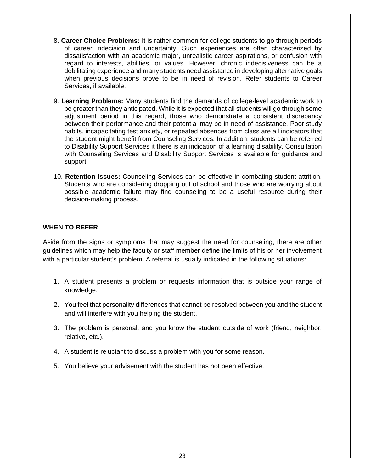- 8. **Career Choice Problems:** It is rather common for college students to go through periods of career indecision and uncertainty. Such experiences are often characterized by dissatisfaction with an academic major, unrealistic career aspirations, or confusion with regard to interests, abilities, or values. However, chronic indecisiveness can be a debilitating experience and many students need assistance in developing alternative goals when previous decisions prove to be in need of revision. Refer students to Career Services, if available.
- 9. **Learning Problems:** Many students find the demands of college-level academic work to be greater than they anticipated. While it is expected that all students will go through some adjustment period in this regard, those who demonstrate a consistent discrepancy between their performance and their potential may be in need of assistance. Poor study habits, incapacitating test anxiety, or repeated absences from class are all indicators that the student might benefit from Counseling Services. In addition, students can be referred to Disability Support Services it there is an indication of a learning disability. Consultation with Counseling Services and Disability Support Services is available for guidance and support.
- 10. **Retention Issues:** Counseling Services can be effective in combating student attrition. Students who are considering dropping out of school and those who are worrying about possible academic failure may find counseling to be a useful resource during their decision-making process.

#### **WHEN TO REFER**

Aside from the signs or symptoms that may suggest the need for counseling, there are other guidelines which may help the faculty or staff member define the limits of his or her involvement with a particular student's problem. A referral is usually indicated in the following situations:

- 1. A student presents a problem or requests information that is outside your range of knowledge.
- 2. You feel that personality differences that cannot be resolved between you and the student and will interfere with you helping the student.
- 3. The problem is personal, and you know the student outside of work (friend, neighbor, relative, etc.).
- 4. A student is reluctant to discuss a problem with you for some reason.
- 5. You believe your advisement with the student has not been effective.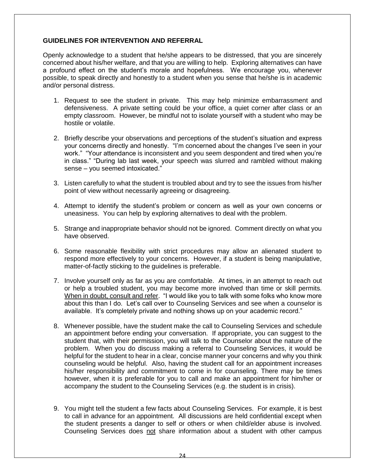#### **GUIDELINES FOR INTERVENTION AND REFERRAL**

Openly acknowledge to a student that he/she appears to be distressed, that you are sincerely concerned about his/her welfare, and that you are willing to help. Exploring alternatives can have a profound effect on the student's morale and hopefulness. We encourage you, whenever possible, to speak directly and honestly to a student when you sense that he/she is in academic and/or personal distress.

- 1. Request to see the student in private. This may help minimize embarrassment and defensiveness. A private setting could be your office, a quiet corner after class or an empty classroom. However, be mindful not to isolate yourself with a student who may be hostile or volatile.
- 2. Briefly describe your observations and perceptions of the student's situation and express your concerns directly and honestly. "I'm concerned about the changes I've seen in your work." "Your attendance is inconsistent and you seem despondent and tired when you're in class." "During lab last week, your speech was slurred and rambled without making sense – you seemed intoxicated."
- 3. Listen carefully to what the student is troubled about and try to see the issues from his/her point of view without necessarily agreeing or disagreeing.
- 4. Attempt to identify the student's problem or concern as well as your own concerns or uneasiness. You can help by exploring alternatives to deal with the problem.
- 5. Strange and inappropriate behavior should not be ignored. Comment directly on what you have observed.
- 6. Some reasonable flexibility with strict procedures may allow an alienated student to respond more effectively to your concerns. However, if a student is being manipulative, matter-of-factly sticking to the guidelines is preferable.
- 7. Involve yourself only as far as you are comfortable. At times, in an attempt to reach out or help a troubled student, you may become more involved than time or skill permits. When in doubt, consult and refer. "I would like you to talk with some folks who know more about this than I do. Let's call over to Counseling Services and see when a counselor is available. It's completely private and nothing shows up on your academic record."
- 8. Whenever possible, have the student make the call to Counseling Services and schedule an appointment before ending your conversation. If appropriate, you can suggest to the student that, with their permission, you will talk to the Counselor about the nature of the problem. When you do discuss making a referral to Counseling Services, it would be helpful for the student to hear in a clear, concise manner your concerns and why you think counseling would be helpful. Also, having the student call for an appointment increases his/her responsibility and commitment to come in for counseling. There may be times however, when it is preferable for you to call and make an appointment for him/her or accompany the student to the Counseling Services (e.g. the student is in crisis).
- 9. You might tell the student a few facts about Counseling Services. For example, it is best to call in advance for an appointment. All discussions are held confidential except when the student presents a danger to self or others or when child/elder abuse is involved. Counseling Services does not share information about a student with other campus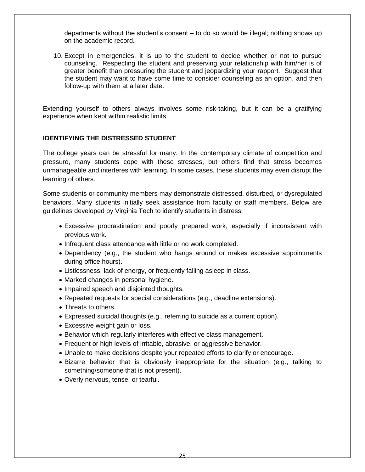departments without the student's consent – to do so would be illegal; nothing shows up on the academic record.

10. Except in emergencies, it is up to the student to decide whether or not to pursue counseling. Respecting the student and preserving your relationship with him/her is of greater benefit than pressuring the student and jeopardizing your rapport. Suggest that the student may want to have some time to consider counseling as an option, and then follow-up with them at a later date.

Extending yourself to others always involves some risk-taking, but it can be a gratifying experience when kept within realistic limits.

#### **IDENTIFYING THE DISTRESSED STUDENT**

The college years can be stressful for many. In the contemporary climate of competition and pressure, many students cope with these stresses, but others find that stress becomes unmanageable and interferes with learning. In some cases, these students may even disrupt the learning of others.

Some students or community members may demonstrate distressed, disturbed, or dysregulated behaviors. Many students initially seek assistance from faculty or staff members. Below are guidelines developed by Virginia Tech to identify students in distress:

- Excessive procrastination and poorly prepared work, especially if inconsistent with previous work.
- Infrequent class attendance with little or no work completed.
- Dependency (e.g., the student who hangs around or makes excessive appointments during office hours).
- Listlessness, lack of energy, or frequently falling asleep in class.
- Marked changes in personal hygiene.
- Impaired speech and disjointed thoughts.
- Repeated requests for special considerations (e.g., deadline extensions).
- Threats to others.
- Expressed suicidal thoughts (e.g., referring to suicide as a current option).
- Excessive weight gain or loss.
- Behavior which regularly interferes with effective class management.
- Frequent or high levels of irritable, abrasive, or aggressive behavior.
- Unable to make decisions despite your repeated efforts to clarify or encourage.
- Bizarre behavior that is obviously inappropriate for the situation (e.g., talking to something/someone that is not present).
- Overly nervous, tense, or tearful.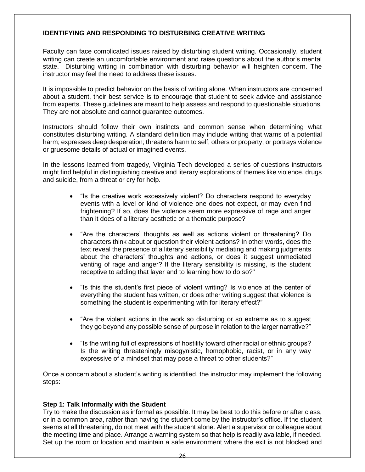#### **IDENTIFYING AND RESPONDING TO DISTURBING CREATIVE WRITING**

Faculty can face complicated issues raised by disturbing student writing. Occasionally, student writing can create an uncomfortable environment and raise questions about the author's mental state. Disturbing writing in combination with disturbing behavior will heighten concern. The instructor may feel the need to address these issues.

It is impossible to predict behavior on the basis of writing alone. When instructors are concerned about a student, their best service is to encourage that student to seek advice and assistance from experts. These guidelines are meant to help assess and respond to questionable situations. They are not absolute and cannot guarantee outcomes.

Instructors should follow their own instincts and common sense when determining what constitutes disturbing writing. A standard definition may include writing that warns of a potential harm; expresses deep desperation; threatens harm to self, others or property; or portrays violence or gruesome details of actual or imagined events.

In the lessons learned from tragedy, Virginia Tech developed a series of questions instructors might find helpful in distinguishing creative and literary explorations of themes like violence, drugs and suicide, from a threat or cry for help.

- "Is the creative work excessively violent? Do characters respond to everyday events with a level or kind of violence one does not expect, or may even find frightening? If so, does the violence seem more expressive of rage and anger than it does of a literary aesthetic or a thematic purpose?
- "Are the characters' thoughts as well as actions violent or threatening? Do characters think about or question their violent actions? In other words, does the text reveal the presence of a literary sensibility mediating and making judgments about the characters' thoughts and actions, or does it suggest unmediated venting of rage and anger? If the literary sensibility is missing, is the student receptive to adding that layer and to learning how to do so?"
- "Is this the student's first piece of violent writing? Is violence at the center of everything the student has written, or does other writing suggest that violence is something the student is experimenting with for literary effect?"
- "Are the violent actions in the work so disturbing or so extreme as to suggest they go beyond any possible sense of purpose in relation to the larger narrative?"
- "Is the writing full of expressions of hostility toward other racial or ethnic groups? Is the writing threateningly misogynistic, homophobic, racist, or in any way expressive of a mindset that may pose a threat to other students?"

Once a concern about a student's writing is identified, the instructor may implement the following steps:

#### **Step 1: Talk Informally with the Student**

Try to make the discussion as informal as possible. It may be best to do this before or after class, or in a common area, rather than having the student come by the instructor's office. If the student seems at all threatening, do not meet with the student alone. Alert a supervisor or colleague about the meeting time and place. Arrange a warning system so that help is readily available, if needed. Set up the room or location and maintain a safe environment where the exit is not blocked and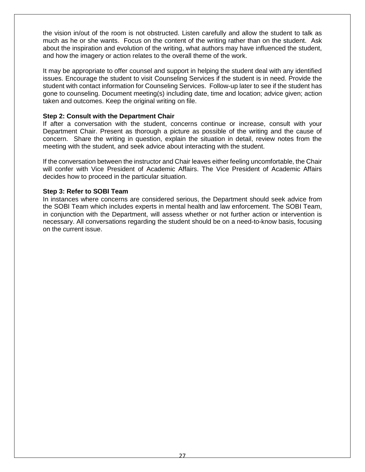the vision in/out of the room is not obstructed. Listen carefully and allow the student to talk as much as he or she wants. Focus on the content of the writing rather than on the student. Ask about the inspiration and evolution of the writing, what authors may have influenced the student, and how the imagery or action relates to the overall theme of the work.

It may be appropriate to offer counsel and support in helping the student deal with any identified issues. Encourage the student to visit Counseling Services if the student is in need. Provide the student with contact information for Counseling Services. Follow-up later to see if the student has gone to counseling. Document meeting(s) including date, time and location; advice given; action taken and outcomes. Keep the original writing on file.

#### **Step 2: Consult with the Department Chair**

If after a conversation with the student, concerns continue or increase, consult with your Department Chair. Present as thorough a picture as possible of the writing and the cause of concern. Share the writing in question, explain the situation in detail, review notes from the meeting with the student, and seek advice about interacting with the student.

If the conversation between the instructor and Chair leaves either feeling uncomfortable, the Chair will confer with Vice President of Academic Affairs. The Vice President of Academic Affairs decides how to proceed in the particular situation.

#### **Step 3: Refer to SOBI Team**

In instances where concerns are considered serious, the Department should seek advice from the SOBI Team which includes experts in mental health and law enforcement. The SOBI Team, in conjunction with the Department, will assess whether or not further action or intervention is necessary. All conversations regarding the student should be on a need-to-know basis, focusing on the current issue.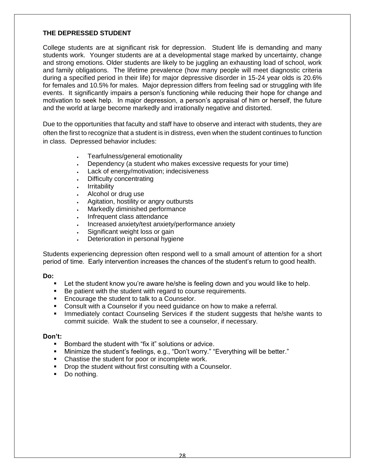#### **THE DEPRESSED STUDENT**

College students are at significant risk for depression. Student life is demanding and many students work. Younger students are at a developmental stage marked by uncertainty, change and strong emotions. Older students are likely to be juggling an exhausting load of school, work and family obligations. The lifetime prevalence (how many people will meet diagnostic criteria during a specified period in their life) for major depressive disorder in 15-24 year olds is 20.6% for females and 10.5% for males. Major depression differs from feeling sad or struggling with life events. It significantly impairs a person's functioning while reducing their hope for change and motivation to seek help. In major depression, a person's appraisal of him or herself, the future and the world at large become markedly and irrationally negative and distorted.

Due to the opportunities that faculty and staff have to observe and interact with students, they are often the first to recognize that a student is in distress, even when the student continues to function in class. Depressed behavior includes:

- Tearfulness/general emotionality
- Dependency (a student who makes excessive requests for your time)
- Lack of energy/motivation; indecisiveness
- Difficulty concentrating
- Irritability
- Alcohol or drug use
- Agitation, hostility or angry outbursts
- Markedly diminished performance
- Infrequent class attendance
- Increased anxiety/test anxiety/performance anxiety
- Significant weight loss or gain
- Deterioration in personal hygiene

Students experiencing depression often respond well to a small amount of attention for a short period of time. Early intervention increases the chances of the student's return to good health.

#### **Do:**

- Let the student know you're aware he/she is feeling down and you would like to help.
- Be patient with the student with regard to course requirements.
- **Encourage the student to talk to a Counselor.**
- Consult with a Counselor if you need guidance on how to make a referral.
- **IMMEDIATELY** contact Counseling Services if the student suggests that he/she wants to commit suicide. Walk the student to see a counselor, if necessary.

- **Bombard the student with "fix it" solutions or advice.**
- Minimize the student's feelings, e.g., "Don't worry." "Everything will be better."
- Chastise the student for poor or incomplete work.
- **Drop the student without first consulting with a Counselor.**
- Do nothing.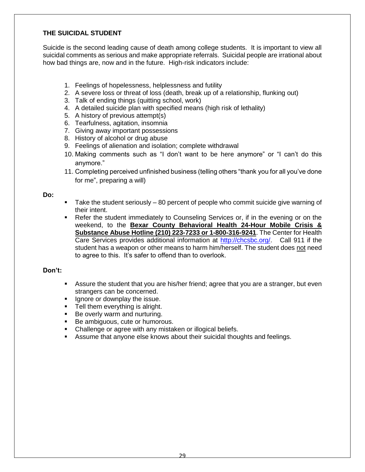#### **THE SUICIDAL STUDENT**

Suicide is the second leading cause of death among college students. It is important to view all suicidal comments as serious and make appropriate referrals. Suicidal people are irrational about how bad things are, now and in the future. High-risk indicators include:

- 1. Feelings of hopelessness, helplessness and futility
- 2. A severe loss or threat of loss (death, break up of a relationship, flunking out)
- 3. Talk of ending things (quitting school, work)
- 4. A detailed suicide plan with specified means (high risk of lethality)
- 5. A history of previous attempt(s)
- 6. Tearfulness, agitation, insomnia
- 7. Giving away important possessions
- 8. History of alcohol or drug abuse
- 9. Feelings of alienation and isolation; complete withdrawal
- 10. Making comments such as "I don't want to be here anymore" or "I can't do this anymore."
- 11. Completing perceived unfinished business (telling others "thank you for all you've done for me", preparing a will)

#### **Do:**

- Take the student seriously 80 percent of people who commit suicide give warning of their intent.
- Refer the student immediately to Counseling Services or, if in the evening or on the weekend, to the **Bexar County Behavioral Health 24-Hour Mobile Crisis & Substance Abuse Hotline (210) 223-7233 or 1-800-316-9241**. The Center for Health Care Services provides additional information at [http://chcsbc.org/.](http://chcsbc.org/) Call 911 if the student has a weapon or other means to harm him/herself. The student does not need to agree to this. It's safer to offend than to overlook.

- Assure the student that you are his/her friend; agree that you are a stranger, but even strangers can be concerned.
- **Ignore or downplay the issue.**
- **Tell them everything is alright.**
- **Be overly warm and nurturing.**
- Be ambiguous, cute or humorous.
- Challenge or agree with any mistaken or illogical beliefs.
- **Assume that anyone else knows about their suicidal thoughts and feelings.**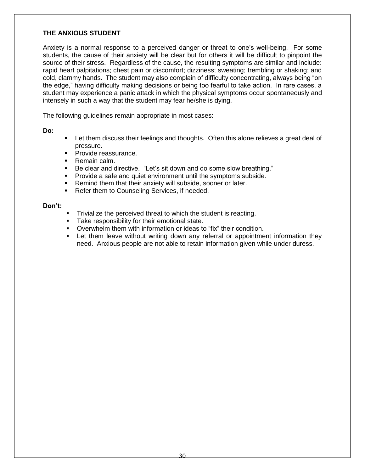#### **THE ANXIOUS STUDENT**

Anxiety is a normal response to a perceived danger or threat to one's well-being. For some students, the cause of their anxiety will be clear but for others it will be difficult to pinpoint the source of their stress. Regardless of the cause, the resulting symptoms are similar and include: rapid heart palpitations; chest pain or discomfort; dizziness; sweating; trembling or shaking; and cold, clammy hands. The student may also complain of difficulty concentrating, always being "on the edge," having difficulty making decisions or being too fearful to take action. In rare cases, a student may experience a panic attack in which the physical symptoms occur spontaneously and intensely in such a way that the student may fear he/she is dying.

The following guidelines remain appropriate in most cases:

**Do:**

- Let them discuss their feelings and thoughts. Often this alone relieves a great deal of pressure.
- **Provide reassurance.**
- **Remain calm.**
- Be clear and directive. "Let's sit down and do some slow breathing."
- **Provide a safe and quiet environment until the symptoms subside.**
- **Remind them that their anxiety will subside, sooner or later.**
- **Refer them to Counseling Services, if needed.**

- Trivialize the perceived threat to which the student is reacting.
- Take responsibility for their emotional state.
- Overwhelm them with information or ideas to "fix" their condition.
- **EXT** Let them leave without writing down any referral or appointment information they need. Anxious people are not able to retain information given while under duress.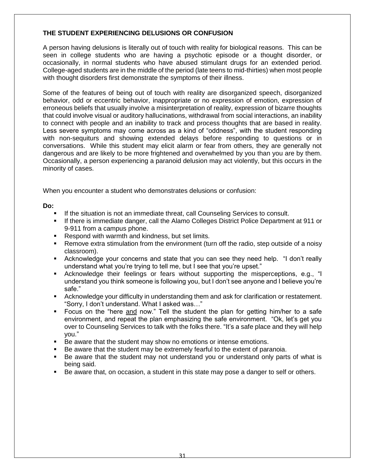#### **THE STUDENT EXPERIENCING DELUSIONS OR CONFUSION**

A person having delusions is literally out of touch with reality for biological reasons. This can be seen in college students who are having a psychotic episode or a thought disorder, or occasionally, in normal students who have abused stimulant drugs for an extended period. College-aged students are in the middle of the period (late teens to mid-thirties) when most people with thought disorders first demonstrate the symptoms of their illness.

Some of the features of being out of touch with reality are disorganized speech, disorganized behavior, odd or eccentric behavior, inappropriate or no expression of emotion, expression of erroneous beliefs that usually involve a misinterpretation of reality, expression of bizarre thoughts that could involve visual or auditory hallucinations, withdrawal from social interactions, an inability to connect with people and an inability to track and process thoughts that are based in reality. Less severe symptoms may come across as a kind of "oddness", with the student responding with non-sequiturs and showing extended delays before responding to questions or in conversations. While this student may elicit alarm or fear from others, they are generally not dangerous and are likely to be more frightened and overwhelmed by you than you are by them. Occasionally, a person experiencing a paranoid delusion may act violently, but this occurs in the minority of cases.

When you encounter a student who demonstrates delusions or confusion:

#### **Do:**

- If the situation is not an immediate threat, call Counseling Services to consult.
- If there is immediate danger, call the Alamo Colleges District Police Department at 911 or 9-911 from a campus phone.
- Respond with warmth and kindness, but set limits.
- Remove extra stimulation from the environment (turn off the radio, step outside of a noisy classroom).
- Acknowledge your concerns and state that you can see they need help. "I don't really understand what you're trying to tell me, but I see that you're upset."
- Acknowledge their feelings or fears without supporting the misperceptions, e.g., "I understand you think someone is following you, but I don't see anyone and I believe you're safe."
- Acknowledge your difficulty in understanding them and ask for clarification or restatement. "Sorry, I don't understand. What I asked was…"
- Focus on the "here and now." Tell the student the plan for getting him/her to a safe environment, and repeat the plan emphasizing the safe environment. "Ok, let's get you over to Counseling Services to talk with the folks there. "It's a safe place and they will help you."
- Be aware that the student may show no emotions or intense emotions.
- Be aware that the student may be extremely fearful to the extent of paranoia.
- Be aware that the student may not understand you or understand only parts of what is being said.
- Be aware that, on occasion, a student in this state may pose a danger to self or others.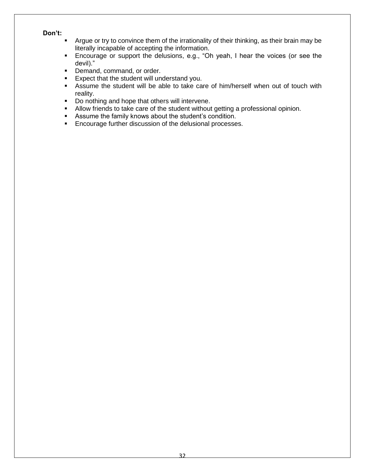- **Argue or try to convince them of the irrationality of their thinking, as their brain may be** literally incapable of accepting the information.
- Encourage or support the delusions, e.g., "Oh yeah, I hear the voices (or see the devil)."
- **Demand, command, or order.**
- **Expect that the student will understand you.**
- Assume the student will be able to take care of him/herself when out of touch with reality.
- Do nothing and hope that others will intervene.
- Allow friends to take care of the student without getting a professional opinion.
- Assume the family knows about the student's condition.
- **Encourage further discussion of the delusional processes.**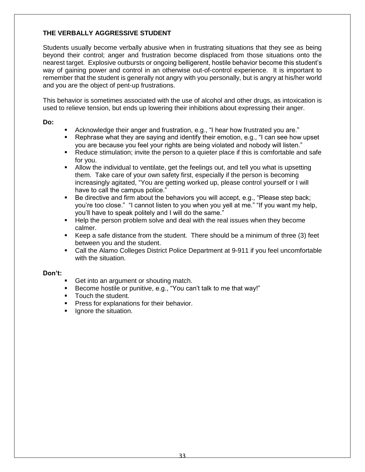#### **THE VERBALLY AGGRESSIVE STUDENT**

Students usually become verbally abusive when in frustrating situations that they see as being beyond their control; anger and frustration become displaced from those situations onto the nearest target. Explosive outbursts or ongoing belligerent, hostile behavior become this student's way of gaining power and control in an otherwise out-of-control experience. It is important to remember that the student is generally not angry with you personally, but is angry at his/her world and you are the object of pent-up frustrations.

This behavior is sometimes associated with the use of alcohol and other drugs, as intoxication is used to relieve tension, but ends up lowering their inhibitions about expressing their anger.

**Do:**

- Acknowledge their anger and frustration, e.g., "I hear how frustrated you are."
- Rephrase what they are saying and identify their emotion, e.g., "I can see how upset you are because you feel your rights are being violated and nobody will listen."
- Pou are because you for your rights are every treating the same of this is comfortable and safe for you.
- Allow the individual to ventilate, get the feelings out, and tell you what is upsetting them. Take care of your own safety first, especially if the person is becoming increasingly agitated, "You are getting worked up, please control yourself or I will have to call the campus police."
- Be directive and firm about the behaviors you will accept, e.g., "Please step back; you're too close." "I cannot listen to you when you yell at me." "If you want my help, you'll have to speak politely and I will do the same."
- Help the person problem solve and deal with the real issues when they become calmer.
- Keep a safe distance from the student. There should be a minimum of three (3) feet between you and the student.
- Call the Alamo Colleges District Police Department at 9-911 if you feel uncomfortable with the situation.

- Get into an argument or shouting match.
- Become hostile or punitive, e.g., "You can't talk to me that way!"
- **Touch the student.**
- **Press for explanations for their behavior.**
- **If** Ignore the situation.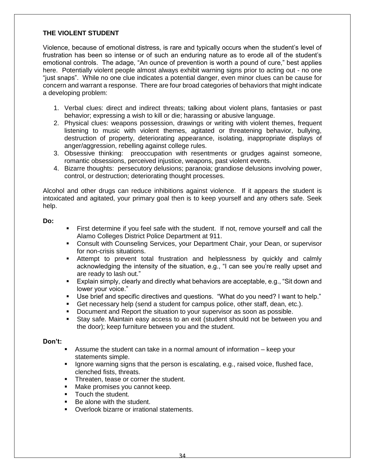#### **THE VIOLENT STUDENT**

Violence, because of emotional distress, is rare and typically occurs when the student's level of frustration has been so intense or of such an enduring nature as to erode all of the student's emotional controls. The adage, "An ounce of prevention is worth a pound of cure," best applies here. Potentially violent people almost always exhibit warning signs prior to acting out - no one "just snaps". While no one clue indicates a potential danger, even minor clues can be cause for concern and warrant a response. There are four broad categories of behaviors that might indicate a developing problem:

- 1. Verbal clues: direct and indirect threats; talking about violent plans, fantasies or past behavior; expressing a wish to kill or die; harassing or abusive language.
- 2. Physical clues: weapons possession, drawings or writing with violent themes, frequent listening to music with violent themes, agitated or threatening behavior, bullying, destruction of property, deteriorating appearance, isolating, inappropriate displays of anger/aggression, rebelling against college rules.
- 3. Obsessive thinking: preoccupation with resentments or grudges against someone, romantic obsessions, perceived injustice, weapons, past violent events.
- 4. Bizarre thoughts: persecutory delusions; paranoia; grandiose delusions involving power, control, or destruction; deteriorating thought processes.

Alcohol and other drugs can reduce inhibitions against violence. If it appears the student is intoxicated and agitated, your primary goal then is to keep yourself and any others safe. Seek help.

#### **Do:**

- First determine if you feel safe with the student. If not, remove yourself and call the Alamo Colleges District Police Department at 911.
- Consult with Counseling Services, your Department Chair, your Dean, or supervisor for non-crisis situations.
- Attempt to prevent total frustration and helplessness by quickly and calmly acknowledging the intensity of the situation, e.g., "I can see you're really upset and are ready to lash out."
- Explain simply, clearly and directly what behaviors are acceptable, e.g., "Sit down and lower your voice."
- Use brief and specific directives and questions. "What do you need? I want to help."
- Get necessary help (send a student for campus police, other staff, dean, etc.).
- Document and Report the situation to your supervisor as soon as possible.
- Stay safe. Maintain easy access to an exit (student should not be between you and the door); keep furniture between you and the student.

- Assume the student can take in a normal amount of information keep your statements simple.
- Ignore warning signs that the person is escalating, e.g., raised voice, flushed face, clenched fists, threats.
- **Threaten, tease or corner the student.**
- **Make promises you cannot keep.**
- **Touch the student.**
- Be alone with the student.
- **Dyerlook bizarre or irrational statements.**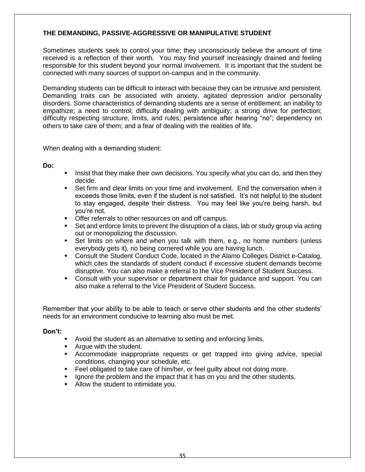#### **THE DEMANDING, PASSIVE-AGGRESSIVE OR MANIPULATIVE STUDENT**

Sometimes students seek to control your time; they unconsciously believe the amount of time received is a reflection of their worth. You may find yourself increasingly drained and feeling responsible for this student beyond your normal involvement. It is important that the student be connected with many sources of support on-campus and in the community.

Demanding students can be difficult to interact with because they can be intrusive and persistent. Demanding traits can be associated with anxiety, agitated depression and/or personality disorders. Some characteristics of demanding students are a sense of entitlement; an inability to empathize; a need to control; difficulty dealing with ambiguity; a strong drive for perfection; difficulty respecting structure, limits, and rules; persistence after hearing "no"; dependency on others to take care of them; and a fear of dealing with the realities of life.

When dealing with a demanding student:

**Do:**

- Insist that they make their own decisions. You specify what you can do, and then they decide.
- Set firm and clear limits on your time and involvement. End the conversation when it exceeds those limits, even if the student is not satisfied. It's not helpful to the student to stay engaged, despite their distress. You may feel like you're being harsh, but you're not.
- **Offer referrals to other resources on and off campus.**
- Set and enforce limits to prevent the disruption of a class, lab or study group via acting out or monopolizing the discussion.
- Set limits on where and when you talk with them, e.g., no home numbers (unless everybody gets it), no being cornered while you are having lunch.
- Consult the Student Conduct Code, located in the Alamo Colleges District e-Catalog, which cites the standards of student conduct if excessive student demands become disruptive. You can also make a referral to the Vice President of Student Success.
- **Consult with your supervisor or department chair for guidance and support. You can** also make a referral to the Vice President of Student Success.

Remember that your ability to be able to teach or serve other students and the other students' needs for an environment conducive to learning also must be met.

- Avoid the student as an alternative to setting and enforcing limits.
- **Argue with the student.**
- Accommodate inappropriate requests or get trapped into giving advice, special conditions, changing your schedule, etc.
- **Feel obligated to take care of him/her, or feel guilty about not doing more.**
- Ignore the problem and the impact that it has on you and the other students.
- Allow the student to intimidate you.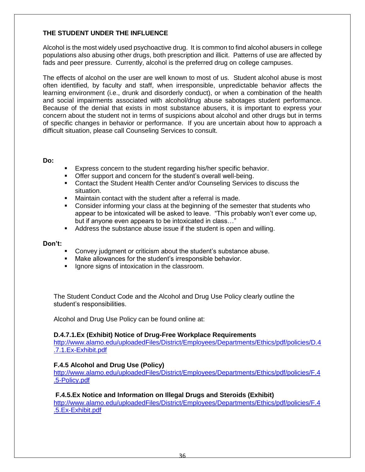#### **THE STUDENT UNDER THE INFLUENCE**

Alcohol is the most widely used psychoactive drug. It is common to find alcohol abusers in college populations also abusing other drugs, both prescription and illicit. Patterns of use are affected by fads and peer pressure. Currently, alcohol is the preferred drug on college campuses.

The effects of alcohol on the user are well known to most of us. Student alcohol abuse is most often identified, by faculty and staff, when irresponsible, unpredictable behavior affects the learning environment (i.e., drunk and disorderly conduct), or when a combination of the health and social impairments associated with alcohol/drug abuse sabotages student performance. Because of the denial that exists in most substance abusers, it is important to express your concern about the student not in terms of suspicions about alcohol and other drugs but in terms of specific changes in behavior or performance. If you are uncertain about how to approach a difficult situation, please call Counseling Services to consult.

#### **Do:**

- **Express concern to the student regarding his/her specific behavior.**
- Offer support and concern for the student's overall well-being.
- **Contact the Student Health Center and/or Counseling Services to discuss the** situation.
- Maintain contact with the student after a referral is made.
- Consider informing your class at the beginning of the semester that students who appear to be intoxicated will be asked to leave. "This probably won't ever come up, but if anyone even appears to be intoxicated in class…"
- Address the substance abuse issue if the student is open and willing.

#### **Don't:**

- Convey judgment or criticism about the student's substance abuse.
- Make allowances for the student's irresponsible behavior.
- **Ignore signs of intoxication in the classroom.**

The Student Conduct Code and the Alcohol and Drug Use Policy clearly outline the student's responsibilities.

Alcohol and Drug Use Policy can be found online at:

#### **D.4.7.1.Ex (Exhibit) Notice of Drug-Free Workplace Requirements**

[http://www.alamo.edu/uploadedFiles/District/Employees/Departments/Ethics/pdf/policies/D.4](http://www.alamo.edu/uploadedFiles/District/Employees/Departments/Ethics/pdf/policies/D.4.7.1.Ex-Exhibit.pdf) [.7.1.Ex-Exhibit.pdf](http://www.alamo.edu/uploadedFiles/District/Employees/Departments/Ethics/pdf/policies/D.4.7.1.Ex-Exhibit.pdf) 

#### **F.4.5 Alcohol and Drug Use (Policy)**

[http://www.alamo.edu/uploadedFiles/District/Employees/Departments/Ethics/pdf/policies/F.4](http://www.alamo.edu/uploadedFiles/District/Employees/Departments/Ethics/pdf/policies/F.4.5-Policy.pdf) [.5-Policy.pdf](http://www.alamo.edu/uploadedFiles/District/Employees/Departments/Ethics/pdf/policies/F.4.5-Policy.pdf)

#### **F.4.5.Ex Notice and Information on Illegal Drugs and Steroids (Exhibit)**

[http://www.alamo.edu/uploadedFiles/District/Employees/Departments/Ethics/pdf/policies/F.4](http://www.alamo.edu/uploadedFiles/District/Employees/Departments/Ethics/pdf/policies/F.4.5.Ex-Exhibit.pdf) [.5.Ex-Exhibit.pdf](http://www.alamo.edu/uploadedFiles/District/Employees/Departments/Ethics/pdf/policies/F.4.5.Ex-Exhibit.pdf)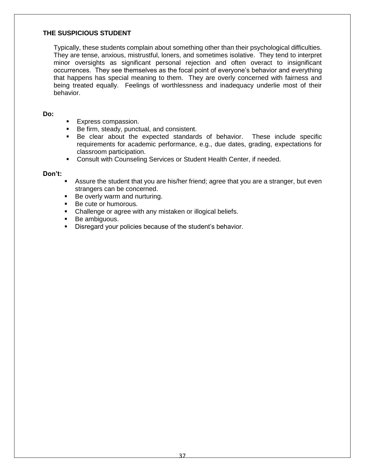#### **THE SUSPICIOUS STUDENT**

Typically, these students complain about something other than their psychological difficulties. They are tense, anxious, mistrustful, loners, and sometimes isolative. They tend to interpret minor oversights as significant personal rejection and often overact to insignificant occurrences. They see themselves as the focal point of everyone's behavior and everything that happens has special meaning to them. They are overly concerned with fairness and being treated equally. Feelings of worthlessness and inadequacy underlie most of their behavior.

#### **Do:**

- Express compassion.
- Be firm, steady, punctual, and consistent.
- Be clear about the expected standards of behavior. These include specific requirements for academic performance, e.g., due dates, grading, expectations for classroom participation.
- **EXECONSULA With Counseling Services or Student Health Center, if needed.**

- Assure the student that you are his/her friend; agree that you are a stranger, but even strangers can be concerned.
- Be overly warm and nurturing.
- Be cute or humorous.
- Challenge or agree with any mistaken or illogical beliefs.
- **Be ambiguous.**
- Disregard your policies because of the student's behavior.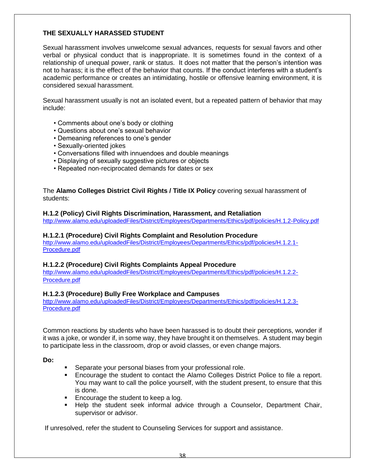#### **THE SEXUALLY HARASSED STUDENT**

Sexual harassment involves unwelcome sexual advances, requests for sexual favors and other verbal or physical conduct that is inappropriate. It is sometimes found in the context of a relationship of unequal power, rank or status. It does not matter that the person's intention was not to harass; it is the effect of the behavior that counts. If the conduct interferes with a student's academic performance or creates an intimidating, hostile or offensive learning environment, it is considered sexual harassment.

Sexual harassment usually is not an isolated event, but a repeated pattern of behavior that may include:

- Comments about one's body or clothing
- Questions about one's sexual behavior
- Demeaning references to one's gender
- Sexually-oriented jokes
- Conversations filled with innuendoes and double meanings
- Displaying of sexually suggestive pictures or objects
- Repeated non-reciprocated demands for dates or sex

The **Alamo Colleges District Civil Rights / Title IX Policy** covering sexual harassment of students:

#### **H.1.2 (Policy) Civil Rights Discrimination, Harassment, and Retaliation**

<http://www.alamo.edu/uploadedFiles/District/Employees/Departments/Ethics/pdf/policies/H.1.2-Policy.pdf>

#### **H.1.2.1 (Procedure) Civil Rights Complaint and Resolution Procedure**

[http://www.alamo.edu/uploadedFiles/District/Employees/Departments/Ethics/pdf/policies/H.1.2.1-](http://www.alamo.edu/uploadedFiles/District/Employees/Departments/Ethics/pdf/policies/H.1.2.1-Procedure.pdf) [Procedure.pdf](http://www.alamo.edu/uploadedFiles/District/Employees/Departments/Ethics/pdf/policies/H.1.2.1-Procedure.pdf)

#### **H.1.2.2 (Procedure) Civil Rights Complaints Appeal Procedure**

[http://www.alamo.edu/uploadedFiles/District/Employees/Departments/Ethics/pdf/policies/H.1.2.2-](http://www.alamo.edu/uploadedFiles/District/Employees/Departments/Ethics/pdf/policies/H.1.2.2-Procedure.pdf) [Procedure.pdf](http://www.alamo.edu/uploadedFiles/District/Employees/Departments/Ethics/pdf/policies/H.1.2.2-Procedure.pdf)

#### **H.1.2.3 (Procedure) Bully Free Workplace and Campuses**

[http://www.alamo.edu/uploadedFiles/District/Employees/Departments/Ethics/pdf/policies/H.1.2.3-](http://www.alamo.edu/uploadedFiles/District/Employees/Departments/Ethics/pdf/policies/H.1.2.3-Procedure.pdf) [Procedure.pdf](http://www.alamo.edu/uploadedFiles/District/Employees/Departments/Ethics/pdf/policies/H.1.2.3-Procedure.pdf)

Common reactions by students who have been harassed is to doubt their perceptions, wonder if it was a joke, or wonder if, in some way, they have brought it on themselves. A student may begin to participate less in the classroom, drop or avoid classes, or even change majors.

**Do:**

- **Separate your personal biases from your professional role.**
- Encourage the student to contact the Alamo Colleges District Police to file a report. You may want to call the police yourself, with the student present, to ensure that this is done.
- **Encourage the student to keep a log.**
- Help the student seek informal advice through a Counselor, Department Chair, supervisor or advisor.

If unresolved, refer the student to Counseling Services for support and assistance.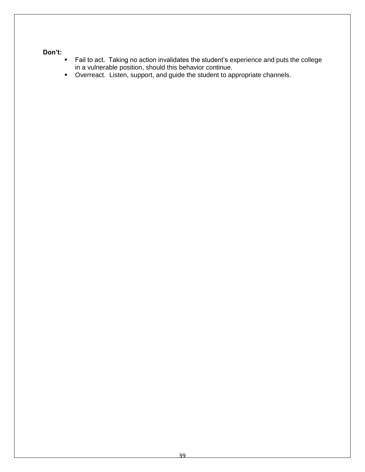- Fail to act. Taking no action invalidates the student's experience and puts the college in a vulnerable position, should this behavior continue.
- Overreact. Listen, support, and guide the student to appropriate channels.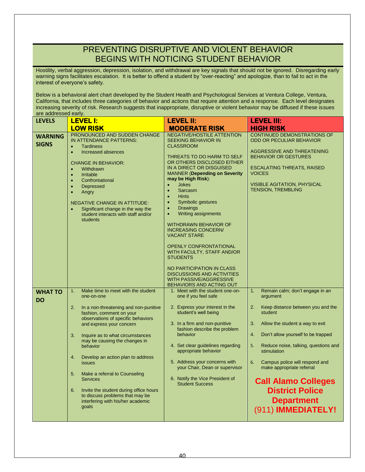### PREVENTING DISRUPTIVE AND VIOLENT BEHAVIOR BEGINS WITH NOTICING STUDENT BEHAVIOR

Hostility, verbal aggression, depression, isolation, and withdrawal are key signals that should not be ignored. Disregarding early warning signs facilitates escalation. It is better to offend a student by "over-reacting" and apologize, than to fail to act in the interest of everyone's safety.

Below is a behavioral alert chart developed by the Student Health and Psychological Services at Ventura College, Ventura, California, that includes three categories of behavior and actions that require attention and a response. Each level designates increasing severity of risk. Research suggests that inappropriate, disruptive or violent behavior may be diffused if these issues are addressed early.

| <b>LEVELS</b>                  | <b>LEVEL I:</b>                                                                                                                                                                                                                                                                                                                                                                                                                                                                                                                            | <b>LEVEL II:</b>                                                                                                                                                                                                                                                                                                                                                                                                                                                                                                                                                                                                                                                                                  | <b>LEVEL III:</b>                                                                                                                                                                                                                                                                                                                                                                                                                        |
|--------------------------------|--------------------------------------------------------------------------------------------------------------------------------------------------------------------------------------------------------------------------------------------------------------------------------------------------------------------------------------------------------------------------------------------------------------------------------------------------------------------------------------------------------------------------------------------|---------------------------------------------------------------------------------------------------------------------------------------------------------------------------------------------------------------------------------------------------------------------------------------------------------------------------------------------------------------------------------------------------------------------------------------------------------------------------------------------------------------------------------------------------------------------------------------------------------------------------------------------------------------------------------------------------|------------------------------------------------------------------------------------------------------------------------------------------------------------------------------------------------------------------------------------------------------------------------------------------------------------------------------------------------------------------------------------------------------------------------------------------|
|                                | <b>LOW RISK</b>                                                                                                                                                                                                                                                                                                                                                                                                                                                                                                                            | <b>MODERATE RISK</b>                                                                                                                                                                                                                                                                                                                                                                                                                                                                                                                                                                                                                                                                              | <b>HIGH RISK</b>                                                                                                                                                                                                                                                                                                                                                                                                                         |
| <b>WARNING</b><br><b>SIGNS</b> | PRONOUNCED AND SUDDEN CHANGE<br>IN ATTENDANCE PATTERNS:<br><b>Tardiness</b><br>$\bullet$<br>$\bullet$<br>Increased absences<br><b>CHANGE IN BEHAVIOR:</b><br>Withdrawn<br>$\bullet$<br>Irritable<br>$\bullet$<br>Confrontational<br>$\bullet$<br><b>Depressed</b><br>$\bullet$<br>Angry<br>$\bullet$<br><b>NEGATIVE CHANGE IN ATTITUDE:</b><br>Significant change in the way the<br>student interacts with staff and/or<br>students                                                                                                        | <b>NEGATIVE/HOSTILE ATTENTION</b><br><b>SEEKING BEHAVIOR IN</b><br><b>CLASSROOM</b><br>THREATS TO DO HARM TO SELF<br>OR OTHERS DISCLOSED EITHER<br>IN A DIRECT OR DISGUISED<br><b>MANNER (Depending on Severity</b><br>may be High Risk):<br><b>Jokes</b><br>Sarcasm<br>$\bullet$<br><b>Hints</b><br>$\bullet$<br>Symbolic gestures<br><b>Drawings</b><br>$\bullet$<br><b>Writing assignments</b><br><b>WITHDRAWN BEHAVIOR OF</b><br><b>INCREASING CONCERN/</b><br><b>VACANT STARE</b><br><b>OPENLY CONFRONTATIONAL</b><br>WITH FACULTY, STAFF AND/OR<br><b>STUDENTS</b><br>NO PARTICIPATION IN CLASS<br><b>DISCUSSIONS AND ACTIVITIES</b><br>WITH PASSIVE/AGGRESSIVE<br>BEHAVIORS AND ACTING OUT | CONTINUED DEMONSTRATIONS OF<br><b>ODD OR PECULIAR BEHAVIOR</b><br><b>AGGRESSIVE AND THREATENING</b><br><b>BEHAVIOR OR GESTURES</b><br><b>ESCALATING THREATS, RAISED</b><br><b>VOICES</b><br><b>VISIBLE AGITATION, PHYSICAL</b><br><b>TENSION, TREMBLING</b>                                                                                                                                                                              |
| <b>WHAT TO</b><br><b>DO</b>    | Make time to meet with the student<br>1.<br>one-on-one<br>2.<br>In a non-threatening and non-punitive<br>fashion, comment on your<br>observations of specific behaviors<br>and express your concern<br>3.<br>Inquire as to what circumstances<br>may be causing the changes in<br>behavior<br>4.<br>Develop an action plan to address<br>issues<br>5.<br>Make a referral to Counseling<br><b>Services</b><br>6.<br>Invite the student during office hours<br>to discuss problems that may be<br>interfering with his/her academic<br>goals | 1. Meet with the student one-on-<br>one if you feel safe<br>2. Express your interest in the<br>student's well being<br>3. In a firm and non-punitive<br>fashion describe the problem<br>behavior<br>4. Set clear guidelines regarding<br>appropriate behavior<br>5. Address your concerns with<br>your Chair, Dean or supervisor<br>6. Notify the Vice President of<br><b>Student Success</b>                                                                                                                                                                                                                                                                                                     | Remain calm; don't engage in an<br>1.<br>argument<br>2.<br>Keep distance between you and the<br>student<br>3.<br>Allow the student a way to exit<br>4.<br>Don't allow yourself to be trapped<br>Reduce noise, talking, questions and<br>5.<br>stimulation<br>Campus police will respond and<br>6.<br>make appropriate referral<br><b>Call Alamo Colleges</b><br><b>District Police</b><br><b>Department</b><br>(911) <b>IMMEDIATELY!</b> |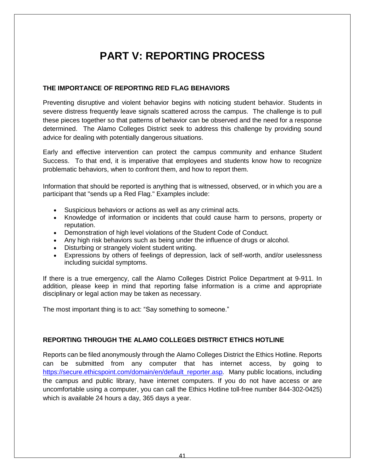# **PART V: REPORTING PROCESS**

#### **THE IMPORTANCE OF REPORTING RED FLAG BEHAVIORS**

Preventing disruptive and violent behavior begins with noticing student behavior. Students in severe distress frequently leave signals scattered across the campus. The challenge is to pull these pieces together so that patterns of behavior can be observed and the need for a response determined. The Alamo Colleges District seek to address this challenge by providing sound advice for dealing with potentially dangerous situations.

Early and effective intervention can protect the campus community and enhance Student Success. To that end, it is imperative that employees and students know how to recognize problematic behaviors, when to confront them, and how to report them.

Information that should be reported is anything that is witnessed, observed, or in which you are a participant that "sends up a Red Flag." Examples include:

- Suspicious behaviors or actions as well as any criminal acts.
- Knowledge of information or incidents that could cause harm to persons, property or reputation.
- Demonstration of high level violations of the Student Code of Conduct.
- Any high risk behaviors such as being under the influence of drugs or alcohol.
- Disturbing or strangely violent student writing.
- Expressions by others of feelings of depression, lack of self-worth, and/or uselessness including suicidal symptoms.

If there is a true emergency, call the Alamo Colleges District Police Department at 9-911. In addition, please keep in mind that reporting false information is a crime and appropriate disciplinary or legal action may be taken as necessary.

The most important thing is to act: "Say something to someone."

#### **REPORTING THROUGH THE ALAMO COLLEGES DISTRICT ETHICS HOTLINE**

Reports can be filed anonymously through the Alamo Colleges District the Ethics Hotline. Reports can be submitted from any computer that has internet access, by going to [https://secure.ethicspoint.com/domain/en/default\\_reporter.asp](https://secure.ethicspoint.com/domain/en/default_reporter.asp)*.* Many public locations, including the campus and public library, have internet computers. If you do not have access or are uncomfortable using a computer, you can call the Ethics Hotline toll-free number 844-302-0425) which is available 24 hours a day, 365 days a year.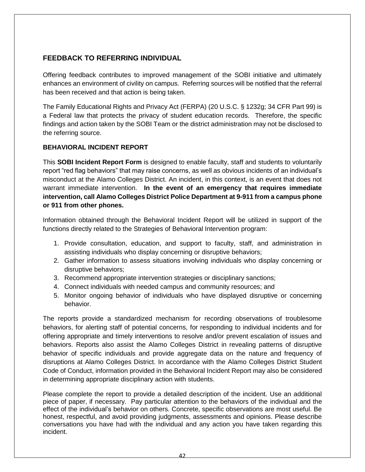#### **FEEDBACK TO REFERRING INDIVIDUAL**

Offering feedback contributes to improved management of the SOBI initiative and ultimately enhances an environment of civility on campus. Referring sources will be notified that the referral has been received and that action is being taken.

The Family Educational Rights and Privacy Act (FERPA) (20 U.S.C. § 1232g; 34 CFR Part 99) is a Federal law that protects the privacy of student education records. Therefore, the specific findings and action taken by the SOBI Team or the district administration may not be disclosed to the referring source.

#### **BEHAVIORAL INCIDENT REPORT**

This **SOBI Incident Report Form** is designed to enable faculty, staff and students to voluntarily report "red flag behaviors" that may raise concerns, as well as obvious incidents of an individual's misconduct at the Alamo Colleges District. An incident, in this context, is an event that does not warrant immediate intervention. **In the event of an emergency that requires immediate intervention, call Alamo Colleges District Police Department at 9-911 from a campus phone or 911 from other phones.**

Information obtained through the Behavioral Incident Report will be utilized in support of the functions directly related to the Strategies of Behavioral Intervention program:

- 1. Provide consultation, education, and support to faculty, staff, and administration in assisting individuals who display concerning or disruptive behaviors;
- 2. Gather information to assess situations involving individuals who display concerning or disruptive behaviors;
- 3. Recommend appropriate intervention strategies or disciplinary sanctions;
- 4. Connect individuals with needed campus and community resources; and
- 5. Monitor ongoing behavior of individuals who have displayed disruptive or concerning behavior.

The reports provide a standardized mechanism for recording observations of troublesome behaviors, for alerting staff of potential concerns, for responding to individual incidents and for offering appropriate and timely interventions to resolve and/or prevent escalation of issues and behaviors. Reports also assist the Alamo Colleges District in revealing patterns of disruptive behavior of specific individuals and provide aggregate data on the nature and frequency of disruptions at Alamo Colleges District. In accordance with the Alamo Colleges District Student Code of Conduct, information provided in the Behavioral Incident Report may also be considered in determining appropriate disciplinary action with students.

Please complete the report to provide a detailed description of the incident. Use an additional piece of paper, if necessary. Pay particular attention to the behaviors of the individual and the effect of the individual's behavior on others. Concrete, specific observations are most useful. Be honest, respectful, and avoid providing judgments, assessments and opinions. Please describe conversations you have had with the individual and any action you have taken regarding this incident.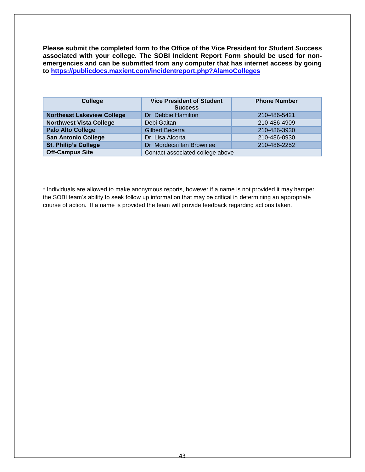**Please submit the completed form to the Office of the Vice President for Student Success associated with your college. The SOBI Incident Report Form should be used for nonemergencies and can be submitted from any computer that has internet access by going to<https://publicdocs.maxient.com/incidentreport.php?AlamoColleges>**

| College                           | <b>Vice President of Student</b><br><b>Success</b> | <b>Phone Number</b> |
|-----------------------------------|----------------------------------------------------|---------------------|
| <b>Northeast Lakeview College</b> | Dr. Debbie Hamilton                                | 210-486-5421        |
| <b>Northwest Vista College</b>    | Debi Gaitan                                        | 210-486-4909        |
| <b>Palo Alto College</b>          | <b>Gilbert Becerra</b>                             | 210-486-3930        |
| <b>San Antonio College</b>        | Dr. Lisa Alcorta                                   | 210-486-0930        |
| <b>St. Philip's College</b>       | Dr. Mordecai Ian Brownlee                          | 210-486-2252        |
| <b>Off-Campus Site</b>            | Contact associated college above                   |                     |

\* Individuals are allowed to make anonymous reports, however if a name is not provided it may hamper the SOBI team's ability to seek follow up information that may be critical in determining an appropriate course of action. If a name is provided the team will provide feedback regarding actions taken.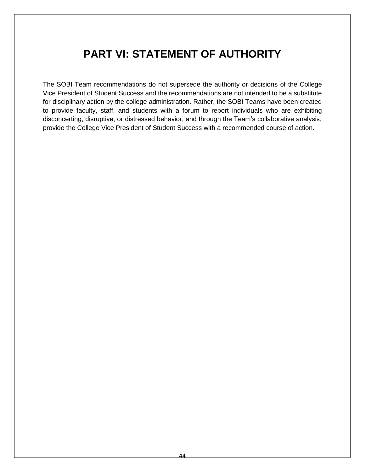### **PART VI: STATEMENT OF AUTHORITY**

The SOBI Team recommendations do not supersede the authority or decisions of the College Vice President of Student Success and the recommendations are not intended to be a substitute for disciplinary action by the college administration. Rather, the SOBI Teams have been created to provide faculty, staff, and students with a forum to report individuals who are exhibiting disconcerting, disruptive, or distressed behavior, and through the Team's collaborative analysis, provide the College Vice President of Student Success with a recommended course of action.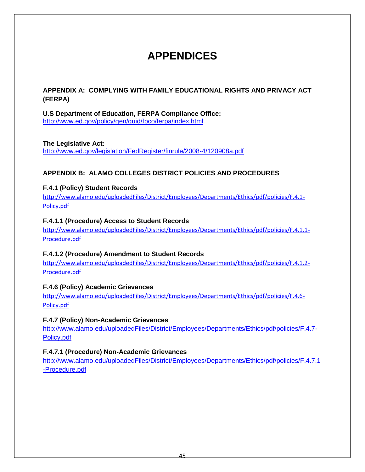# **APPENDICES**

#### **APPENDIX A: COMPLYING WITH FAMILY EDUCATIONAL RIGHTS AND PRIVACY ACT (FERPA)**

**U.S Department of Education, FERPA Compliance Office:** <http://www.ed.gov/policy/gen/guid/fpco/ferpa/index.html>

#### **The Legislative Act:**

<http://www.ed.gov/legislation/FedRegister/finrule/2008-4/120908a.pdf>

#### **APPENDIX B: ALAMO COLLEGES DISTRICT POLICIES AND PROCEDURES**

#### **F.4.1 (Policy) Student Records**

[http://www.alamo.edu/uploadedFiles/District/Employees/Departments/Ethics/pdf/policies/F.4.1-](http://www.alamo.edu/uploadedFiles/District/Employees/Departments/Ethics/pdf/policies/F.4.1-Policy.pdf) [Policy.pdf](http://www.alamo.edu/uploadedFiles/District/Employees/Departments/Ethics/pdf/policies/F.4.1-Policy.pdf)

#### **F.4.1.1 (Procedure) Access to Student Records**

[http://www.alamo.edu/uploadedFiles/District/Employees/Departments/Ethics/pdf/policies/F.4.1.1-](http://www.alamo.edu/uploadedFiles/District/Employees/Departments/Ethics/pdf/policies/F.4.1.1-Procedure.pdf) [Procedure.pdf](http://www.alamo.edu/uploadedFiles/District/Employees/Departments/Ethics/pdf/policies/F.4.1.1-Procedure.pdf)

#### **F.4.1.2 (Procedure) Amendment to Student Records**

[http://www.alamo.edu/uploadedFiles/District/Employees/Departments/Ethics/pdf/policies/F.4.1.2-](http://www.alamo.edu/uploadedFiles/District/Employees/Departments/Ethics/pdf/policies/F.4.1.2-Procedure.pdf) [Procedure.pdf](http://www.alamo.edu/uploadedFiles/District/Employees/Departments/Ethics/pdf/policies/F.4.1.2-Procedure.pdf)

#### **F.4.6 (Policy) Academic Grievances**

[http://www.alamo.edu/uploadedFiles/District/Employees/Departments/Ethics/pdf/policies/F.4.6-](http://www.alamo.edu/uploadedFiles/District/Employees/Departments/Ethics/pdf/policies/F.4.6-Policy.pdf) [Policy.pdf](http://www.alamo.edu/uploadedFiles/District/Employees/Departments/Ethics/pdf/policies/F.4.6-Policy.pdf)

#### **F.4.7 (Policy) Non-Academic Grievances**

[http://www.alamo.edu/uploadedFiles/District/Employees/Departments/Ethics/pdf/policies/F.4.7-](http://www.alamo.edu/uploadedFiles/District/Employees/Departments/Ethics/pdf/policies/F.4.7-Policy.pdf) [Policy.pdf](http://www.alamo.edu/uploadedFiles/District/Employees/Departments/Ethics/pdf/policies/F.4.7-Policy.pdf)

#### **F.4.7.1 (Procedure) Non-Academic Grievances**

[http://www.alamo.edu/uploadedFiles/District/Employees/Departments/Ethics/pdf/policies/F.4.7.1](http://www.alamo.edu/uploadedFiles/District/Employees/Departments/Ethics/pdf/policies/F.4.7.1-Procedure.pdf) [-Procedure.pdf](http://www.alamo.edu/uploadedFiles/District/Employees/Departments/Ethics/pdf/policies/F.4.7.1-Procedure.pdf)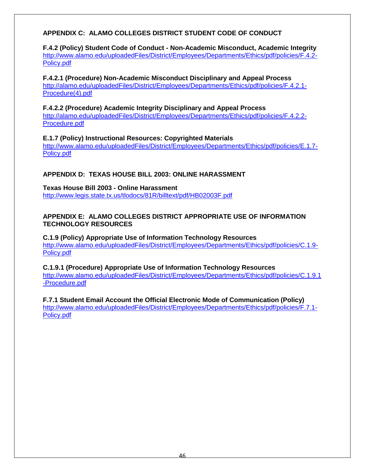#### **APPENDIX C: ALAMO COLLEGES DISTRICT STUDENT CODE OF CONDUCT**

**F.4.2 (Policy) Student Code of Conduct - Non-Academic Misconduct, Academic Integrity** [http://www.alamo.edu/uploadedFiles/District/Employees/Departments/Ethics/pdf/policies/F.4.2-](http://www.alamo.edu/uploadedFiles/District/Employees/Departments/Ethics/pdf/policies/F.4.2-Policy.pdf) [Policy.pdf](http://www.alamo.edu/uploadedFiles/District/Employees/Departments/Ethics/pdf/policies/F.4.2-Policy.pdf)

**F.4.2.1 (Procedure) Non-Academic Misconduct Disciplinary and Appeal Process** [http://alamo.edu/uploadedFiles/District/Employees/Departments/Ethics/pdf/policies/F.4.2.1-](http://alamo.edu/uploadedFiles/District/Employees/Departments/Ethics/pdf/policies/F.4.2.1-Procedure(4).pdf) [Procedure\(4\).pdf](http://alamo.edu/uploadedFiles/District/Employees/Departments/Ethics/pdf/policies/F.4.2.1-Procedure(4).pdf)

**F.4.2.2 (Procedure) Academic Integrity Disciplinary and Appeal Process** [http://alamo.edu/uploadedFiles/District/Employees/Departments/Ethics/pdf/policies/F.4.2.2-](http://alamo.edu/uploadedFiles/District/Employees/Departments/Ethics/pdf/policies/F.4.2.2-Procedure.pdf) [Procedure.pdf](http://alamo.edu/uploadedFiles/District/Employees/Departments/Ethics/pdf/policies/F.4.2.2-Procedure.pdf)

**E.1.7 (Policy) Instructional Resources: Copyrighted Materials** [http://www.alamo.edu/uploadedFiles/District/Employees/Departments/Ethics/pdf/policies/E.1.7-](http://www.alamo.edu/uploadedFiles/District/Employees/Departments/Ethics/pdf/policies/E.1.7-Policy.pdf) [Policy.pdf](http://www.alamo.edu/uploadedFiles/District/Employees/Departments/Ethics/pdf/policies/E.1.7-Policy.pdf)

#### **APPENDIX D: TEXAS HOUSE BILL 2003: ONLINE HARASSMENT**

**Texas House Bill 2003 - Online Harassment** <http://www.legis.state.tx.us/tlodocs/81R/billtext/pdf/HB02003F.pdf>

#### **APPENDIX E: ALAMO COLLEGES DISTRICT APPROPRIATE USE OF INFORMATION TECHNOLOGY RESOURCES**

**C.1.9 (Policy) Appropriate Use of Information Technology Resources** [http://www.alamo.edu/uploadedFiles/District/Employees/Departments/Ethics/pdf/policies/C.1.9-](http://www.alamo.edu/uploadedFiles/District/Employees/Departments/Ethics/pdf/policies/C.1.9-Policy.pdf) [Policy.pdf](http://www.alamo.edu/uploadedFiles/District/Employees/Departments/Ethics/pdf/policies/C.1.9-Policy.pdf)

**C.1.9.1 (Procedure) Appropriate Use of Information Technology Resources** [http://www.alamo.edu/uploadedFiles/District/Employees/Departments/Ethics/pdf/policies/C.1.9.1](http://www.alamo.edu/uploadedFiles/District/Employees/Departments/Ethics/pdf/policies/C.1.9.1-Procedure.pdf) [-Procedure.pdf](http://www.alamo.edu/uploadedFiles/District/Employees/Departments/Ethics/pdf/policies/C.1.9.1-Procedure.pdf)

**F.7.1 Student Email Account the Official Electronic Mode of Communication (Policy)** [http://www.alamo.edu/uploadedFiles/District/Employees/Departments/Ethics/pdf/policies/F.7.1-](http://www.alamo.edu/uploadedFiles/District/Employees/Departments/Ethics/pdf/policies/F.7.1-Policy.pdf) [Policy.pdf](http://www.alamo.edu/uploadedFiles/District/Employees/Departments/Ethics/pdf/policies/F.7.1-Policy.pdf)